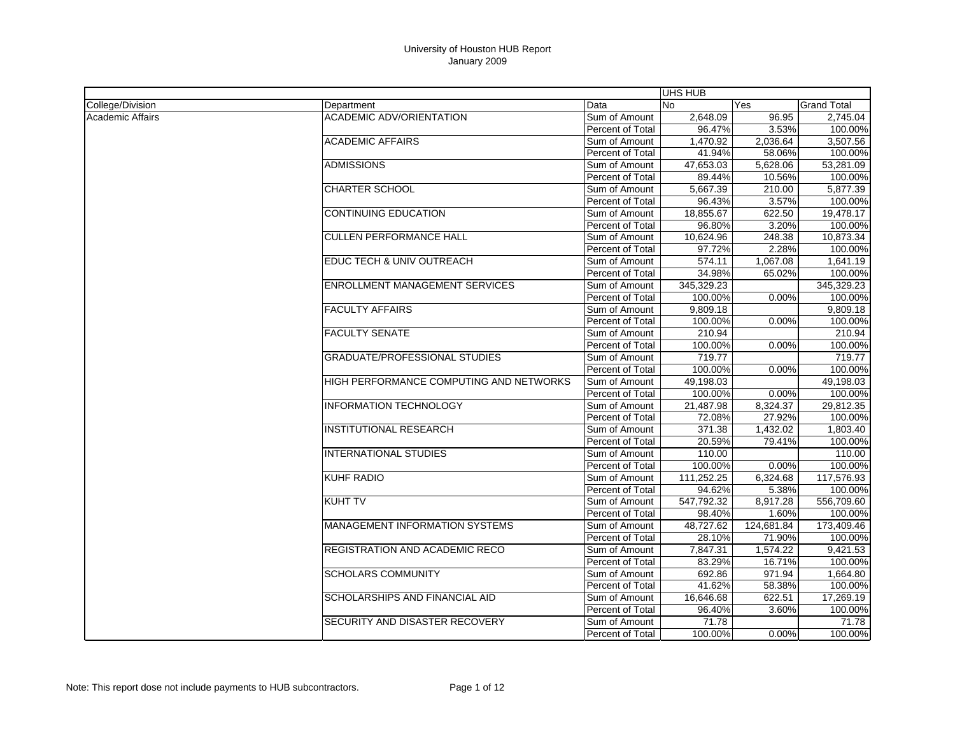|                         |                                         |                         | UHS HUB    |            |                    |
|-------------------------|-----------------------------------------|-------------------------|------------|------------|--------------------|
| College/Division        | Department                              | Data                    | <b>No</b>  | Yes        | <b>Grand Total</b> |
| <b>Academic Affairs</b> | <b>ACADEMIC ADV/ORIENTATION</b>         | Sum of Amount           | 2,648.09   | 96.95      | 2,745.04           |
|                         |                                         | Percent of Total        | 96.47%     | 3.53%      | 100.00%            |
|                         | <b>ACADEMIC AFFAIRS</b>                 | Sum of Amount           | 1,470.92   | 2,036.64   | 3,507.56           |
|                         |                                         | Percent of Total        | 41.94%     | 58.06%     | 100.00%            |
|                         | <b>ADMISSIONS</b>                       | Sum of Amount           | 47,653.03  | 5,628.06   | 53.281.09          |
|                         |                                         | Percent of Total        | 89.44%     | 10.56%     | 100.00%            |
|                         | <b>CHARTER SCHOOL</b>                   | Sum of Amount           | 5,667.39   | 210.00     | 5,877.39           |
|                         |                                         | Percent of Total        | 96.43%     | 3.57%      | 100.00%            |
|                         | <b>CONTINUING EDUCATION</b>             | Sum of Amount           | 18,855.67  | 622.50     | 19,478.17          |
|                         |                                         | Percent of Total        | 96.80%     | 3.20%      | 100.00%            |
|                         | <b>CULLEN PERFORMANCE HALL</b>          | Sum of Amount           | 10,624.96  | 248.38     | 10,873.34          |
|                         |                                         | Percent of Total        | 97.72%     | 2.28%      | 100.00%            |
|                         | EDUC TECH & UNIV OUTREACH               | Sum of Amount           | 574.11     | 1,067.08   | 1,641.19           |
|                         |                                         | Percent of Total        | 34.98%     | 65.02%     | 100.00%            |
|                         | <b>ENROLLMENT MANAGEMENT SERVICES</b>   | Sum of Amount           | 345,329.23 |            | 345,329.23         |
|                         |                                         | Percent of Total        | 100.00%    | 0.00%      | 100.00%            |
|                         | <b>FACULTY AFFAIRS</b>                  | Sum of Amount           | 9,809.18   |            | 9,809.18           |
|                         |                                         | Percent of Total        | 100.00%    | 0.00%      | 100.00%            |
|                         | <b>FACULTY SENATE</b>                   | Sum of Amount           | 210.94     |            | 210.94             |
|                         |                                         | Percent of Total        | 100.00%    | 0.00%      | 100.00%            |
|                         | <b>GRADUATE/PROFESSIONAL STUDIES</b>    | Sum of Amount           | 719.77     |            | 719.77             |
|                         |                                         | Percent of Total        | 100.00%    | 0.00%      | 100.00%            |
|                         | HIGH PERFORMANCE COMPUTING AND NETWORKS | Sum of Amount           | 49,198.03  |            | 49,198.03          |
|                         |                                         | Percent of Total        | 100.00%    | 0.00%      | 100.00%            |
|                         | <b>INFORMATION TECHNOLOGY</b>           | Sum of Amount           | 21,487.98  | 8,324.37   | 29,812.35          |
|                         |                                         | Percent of Total        | 72.08%     | 27.92%     | 100.00%            |
|                         | <b>INSTITUTIONAL RESEARCH</b>           | Sum of Amount           | 371.38     | 1,432.02   | 1.803.40           |
|                         |                                         | Percent of Total        | 20.59%     | 79.41%     | 100.00%            |
|                         | <b>INTERNATIONAL STUDIES</b>            | Sum of Amount           | 110.00     |            | 110.00             |
|                         |                                         | Percent of Total        | 100.00%    | 0.00%      | 100.00%            |
|                         | <b>KUHF RADIO</b>                       | Sum of Amount           | 111,252.25 | 6,324.68   | 117,576.93         |
|                         |                                         | Percent of Total        | 94.62%     | 5.38%      | 100.00%            |
|                         | <b>KUHT TV</b>                          | Sum of Amount           | 547,792.32 | 8,917.28   | 556,709.60         |
|                         |                                         | Percent of Total        | 98.40%     | 1.60%      | 100.00%            |
|                         | <b>MANAGEMENT INFORMATION SYSTEMS</b>   | Sum of Amount           | 48,727.62  | 124,681.84 | 173,409.46         |
|                         |                                         | Percent of Total        | 28.10%     | 71.90%     | 100.00%            |
|                         | <b>REGISTRATION AND ACADEMIC RECO</b>   | Sum of Amount           | 7,847.31   | 1,574.22   | 9.421.53           |
|                         |                                         | Percent of Total        | 83.29%     | 16.71%     | 100.00%            |
|                         | <b>SCHOLARS COMMUNITY</b>               | Sum of Amount           | 692.86     | 971.94     | 1,664.80           |
|                         |                                         | <b>Percent of Total</b> | 41.62%     | 58.38%     | 100.00%            |
|                         | <b>SCHOLARSHIPS AND FINANCIAL AID</b>   | Sum of Amount           | 16,646.68  | 622.51     | 17,269.19          |
|                         |                                         | Percent of Total        | 96.40%     | 3.60%      | 100.00%            |
|                         | SECURITY AND DISASTER RECOVERY          | Sum of Amount           | 71.78      |            | 71.78              |
|                         |                                         | <b>Percent of Total</b> | 100.00%    | 0.00%      | 100.00%            |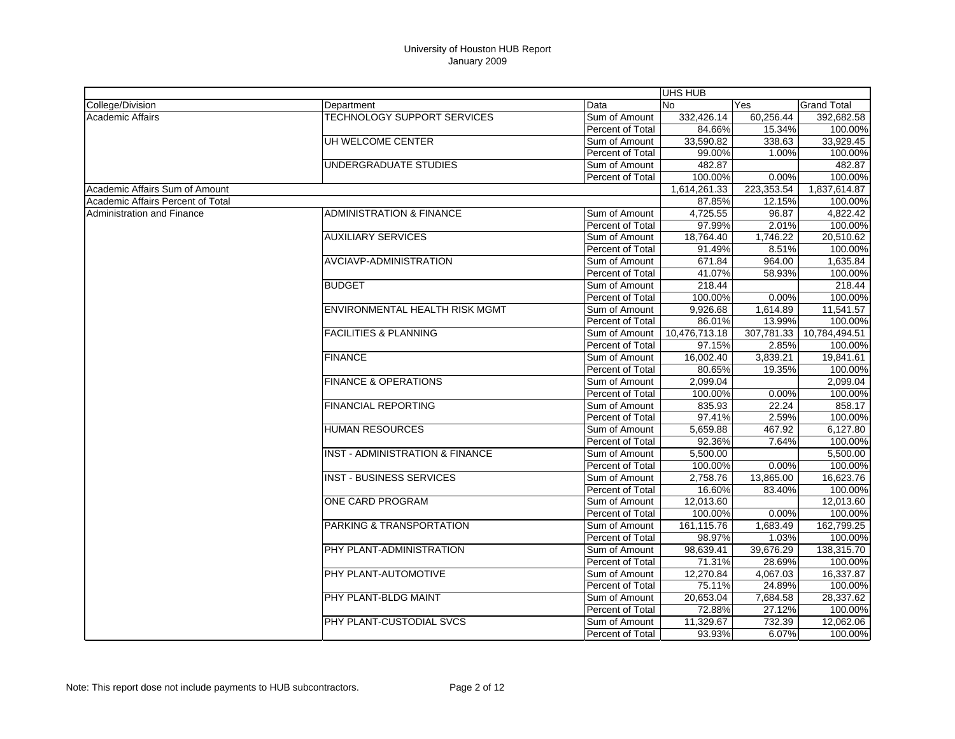|                                   |                                            |                  | UHS HUB       |            |                    |
|-----------------------------------|--------------------------------------------|------------------|---------------|------------|--------------------|
| College/Division                  | Department                                 | Data             | No            | Yes        | <b>Grand Total</b> |
| <b>Academic Affairs</b>           | <b>TECHNOLOGY SUPPORT SERVICES</b>         | Sum of Amount    | 332,426.14    | 60,256.44  | 392,682.58         |
|                                   |                                            | Percent of Total | 84.66%        | 15.34%     | 100.00%            |
|                                   | UH WELCOME CENTER                          | Sum of Amount    | 33,590.82     | 338.63     | 33.929.45          |
|                                   |                                            | Percent of Total | 99.00%        | 1.00%      | 100.00%            |
|                                   | UNDERGRADUATE STUDIES                      | Sum of Amount    | 482.87        |            | 482.87             |
|                                   |                                            | Percent of Total | 100.00%       | 0.00%      | 100.00%            |
| Academic Affairs Sum of Amount    |                                            |                  | 1,614,261.33  | 223,353.54 | 1,837,614.87       |
| Academic Affairs Percent of Total |                                            |                  | 87.85%        | 12.15%     | 100.00%            |
| <b>Administration and Finance</b> | <b>ADMINISTRATION &amp; FINANCE</b>        | Sum of Amount    | 4,725.55      | 96.87      | 4,822.42           |
|                                   |                                            | Percent of Total | 97.99%        | 2.01%      | 100.00%            |
|                                   | <b>AUXILIARY SERVICES</b>                  | Sum of Amount    | 18,764.40     | 1,746.22   | 20,510.62          |
|                                   |                                            | Percent of Total | 91.49%        | 8.51%      | 100.00%            |
|                                   | <b>AVCIAVP-ADMINISTRATION</b>              | Sum of Amount    | 671.84        | 964.00     | 1,635.84           |
|                                   |                                            | Percent of Total | 41.07%        | 58.93%     | 100.00%            |
|                                   | <b>BUDGET</b>                              | Sum of Amount    | 218.44        |            | 218.44             |
|                                   |                                            | Percent of Total | 100.00%       | $0.00\%$   | 100.00%            |
|                                   | ENVIRONMENTAL HEALTH RISK MGMT             | Sum of Amount    | 9,926.68      | 1,614.89   | 11,541.57          |
|                                   |                                            | Percent of Total | 86.01%        | 13.99%     | 100.00%            |
|                                   | <b>FACILITIES &amp; PLANNING</b>           | Sum of Amount    | 10,476,713.18 | 307,781.33 | 10,784,494.51      |
|                                   |                                            | Percent of Total | 97.15%        | 2.85%      | 100.00%            |
|                                   | <b>FINANCE</b>                             | Sum of Amount    | 16,002.40     | 3.839.21   | 19,841.61          |
|                                   |                                            | Percent of Total | 80.65%        | 19.35%     | 100.00%            |
|                                   | <b>FINANCE &amp; OPERATIONS</b>            | Sum of Amount    | 2,099.04      |            | 2,099.04           |
|                                   |                                            | Percent of Total | 100.00%       | 0.00%      | 100.00%            |
|                                   | <b>FINANCIAL REPORTING</b>                 | Sum of Amount    | 835.93        | 22.24      | 858.17             |
|                                   |                                            | Percent of Total | 97.41%        | 2.59%      | 100.00%            |
|                                   | <b>HUMAN RESOURCES</b>                     | Sum of Amount    | 5,659.88      | 467.92     | 6,127.80           |
|                                   |                                            | Percent of Total | 92.36%        | 7.64%      | 100.00%            |
|                                   | <b>INST - ADMINISTRATION &amp; FINANCE</b> | Sum of Amount    | 5,500.00      |            | 5,500.00           |
|                                   |                                            | Percent of Total | 100.00%       | 0.00%      | 100.00%            |
|                                   | <b>INST - BUSINESS SERVICES</b>            | Sum of Amount    | 2.758.76      | 13.865.00  | 16.623.76          |
|                                   |                                            | Percent of Total | 16.60%        | 83.40%     | 100.00%            |
|                                   | ONE CARD PROGRAM                           | Sum of Amount    | 12,013.60     |            | 12,013.60          |
|                                   |                                            | Percent of Total | 100.00%       | 0.00%      | 100.00%            |
|                                   | PARKING & TRANSPORTATION                   | Sum of Amount    | 161,115.76    | 1,683.49   | 162,799.25         |
|                                   |                                            | Percent of Total | 98.97%        | 1.03%      | 100.00%            |
|                                   | PHY PLANT-ADMINISTRATION                   | Sum of Amount    | 98,639.41     | 39,676.29  | 138,315.70         |
|                                   |                                            | Percent of Total | 71.31%        | 28.69%     | 100.00%            |
|                                   | PHY PLANT-AUTOMOTIVE                       | Sum of Amount    | 12.270.84     | 4.067.03   | 16.337.87          |
|                                   |                                            | Percent of Total | 75.11%        | 24.89%     | 100.00%            |
|                                   | PHY PLANT-BLDG MAINT                       | Sum of Amount    | 20,653.04     | 7,684.58   | 28,337.62          |
|                                   |                                            | Percent of Total | 72.88%        | 27.12%     | 100.00%            |
|                                   | PHY PLANT-CUSTODIAL SVCS                   | Sum of Amount    | 11,329.67     | 732.39     | 12,062.06          |
|                                   |                                            | Percent of Total | 93.93%        | 6.07%      | 100.00%            |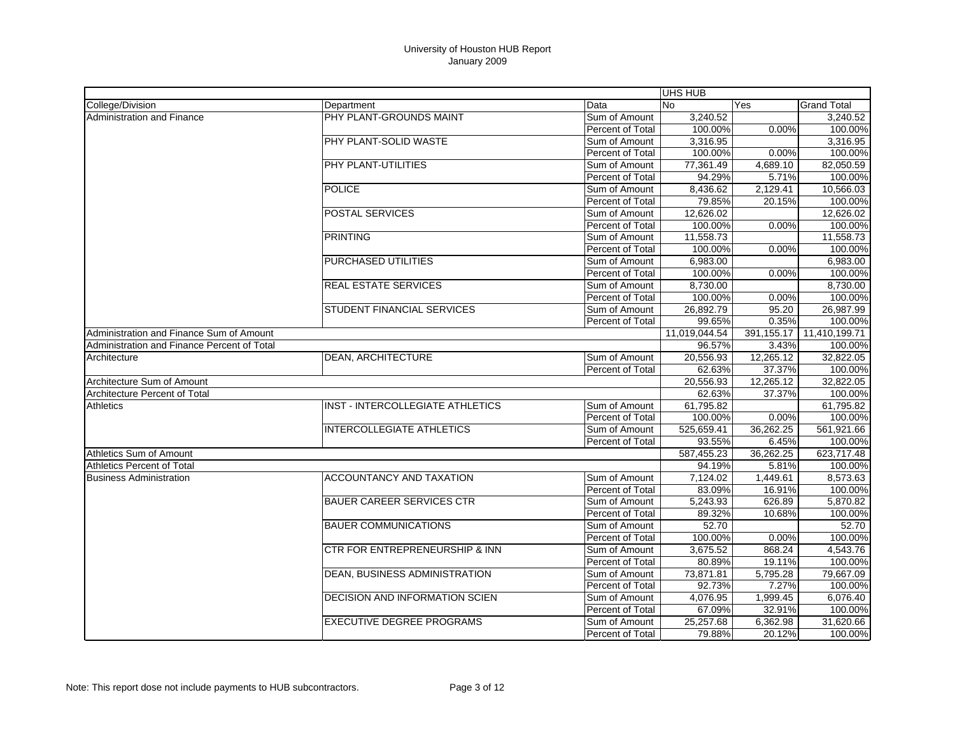|                                             |                                       |                  | UHS HUB    |                       |                    |
|---------------------------------------------|---------------------------------------|------------------|------------|-----------------------|--------------------|
| College/Division                            | Department                            | Data             | <b>No</b>  | Yes                   | <b>Grand Total</b> |
| <b>Administration and Finance</b>           | PHY PLANT-GROUNDS MAINT               | Sum of Amount    | 3,240.52   |                       | 3,240.52           |
|                                             |                                       | Percent of Total | 100.00%    | 0.00%                 | 100.00%            |
|                                             | PHY PLANT-SOLID WASTE                 | Sum of Amount    | 3,316.95   |                       | 3,316.95           |
|                                             |                                       | Percent of Total | 100.00%    | 0.00%                 | 100.00%            |
|                                             | PHY PLANT-UTILITIES                   | Sum of Amount    | 77,361.49  | 4,689.10              | 82,050.59          |
|                                             |                                       | Percent of Total | 94.29%     | 5.71%                 | 100.00%            |
|                                             | <b>POLICE</b>                         | Sum of Amount    | 8,436.62   | $\overline{2,}129.41$ | 10,566.03          |
|                                             |                                       | Percent of Total | 79.85%     | 20.15%                | 100.00%            |
|                                             | <b>POSTAL SERVICES</b>                | Sum of Amount    | 12,626.02  |                       | 12,626.02          |
|                                             |                                       | Percent of Total | 100.00%    | 0.00%                 | 100.00%            |
|                                             | <b>PRINTING</b>                       | Sum of Amount    | 11,558.73  |                       | 11,558.73          |
|                                             |                                       | Percent of Total | 100.00%    | 0.00%                 | 100.00%            |
|                                             | PURCHASED UTILITIES                   | Sum of Amount    | 6,983.00   |                       | 6,983.00           |
|                                             |                                       | Percent of Total | 100.00%    | 0.00%                 | 100.00%            |
|                                             | <b>REAL ESTATE SERVICES</b>           | Sum of Amount    | 8,730.00   |                       | 8,730.00           |
|                                             |                                       | Percent of Total | 100.00%    | 0.00%                 | 100.00%            |
|                                             | STUDENT FINANCIAL SERVICES            | Sum of Amount    | 26,892.79  | 95.20                 | 26,987.99          |
|                                             |                                       | Percent of Total | 99.65%     | 0.35%                 | 100.00%            |
| Administration and Finance Sum of Amount    |                                       | 11,019,044.54    | 391,155.17 | 11,410,199.71         |                    |
| Administration and Finance Percent of Total |                                       |                  | 96.57%     | 3.43%                 | 100.00%            |
| Architecture                                | <b>DEAN, ARCHITECTURE</b>             | Sum of Amount    | 20,556.93  | 12,265.12             | 32,822.05          |
|                                             |                                       | Percent of Total | 62.63%     | 37.37%                | 100.00%            |
| Architecture Sum of Amount                  |                                       |                  | 20,556.93  | 12,265.12             | 32,822.05          |
| Architecture Percent of Total               |                                       |                  | 62.63%     | 37.37%                | 100.00%            |
| Athletics                                   | INST - INTERCOLLEGIATE ATHLETICS      | Sum of Amount    | 61,795.82  |                       | 61,795.82          |
|                                             |                                       | Percent of Total | 100.00%    | 0.00%                 | 100.00%            |
|                                             | <b>INTERCOLLEGIATE ATHLETICS</b>      | Sum of Amount    | 525,659.41 | 36,262.25             | 561,921.66         |
|                                             |                                       | Percent of Total | 93.55%     | 6.45%                 | 100.00%            |
| Athletics Sum of Amount                     |                                       |                  | 587.455.23 | 36.262.25             | 623,717.48         |
| <b>Athletics Percent of Total</b>           |                                       |                  | 94.19%     | 5.81%                 | 100.00%            |
| <b>Business Administration</b>              | <b>ACCOUNTANCY AND TAXATION</b>       | Sum of Amount    | 7,124.02   | 1,449.61              | 8,573.63           |
|                                             |                                       | Percent of Total | 83.09%     | 16.91%                | 100.00%            |
|                                             | <b>BAUER CAREER SERVICES CTR</b>      | Sum of Amount    | 5,243.93   | 626.89                | 5,870.82           |
|                                             |                                       | Percent of Total | 89.32%     | 10.68%                | 100.00%            |
|                                             | <b>BAUER COMMUNICATIONS</b>           | Sum of Amount    | 52.70      |                       | 52.70              |
|                                             |                                       | Percent of Total | 100.00%    | 0.00%                 | 100.00%            |
|                                             | CTR FOR ENTREPRENEURSHIP & INN        | Sum of Amount    | 3,675.52   | 868.24                | 4,543.76           |
|                                             |                                       | Percent of Total | 80.89%     | 19.11%                | 100.00%            |
|                                             | <b>DEAN, BUSINESS ADMINISTRATION</b>  | Sum of Amount    | 73,871.81  | 5,795.28              | 79,667.09          |
|                                             |                                       | Percent of Total | 92.73%     | 7.27%                 | 100.00%            |
|                                             | <b>DECISION AND INFORMATION SCIEN</b> | Sum of Amount    | 4,076.95   | 1,999.45              | 6,076.40           |
|                                             |                                       | Percent of Total | 67.09%     | 32.91%                | 100.00%            |
|                                             | <b>EXECUTIVE DEGREE PROGRAMS</b>      | Sum of Amount    | 25,257.68  | 6,362.98              | 31,620.66          |
|                                             |                                       | Percent of Total | 79.88%     | 20.12%                | 100.00%            |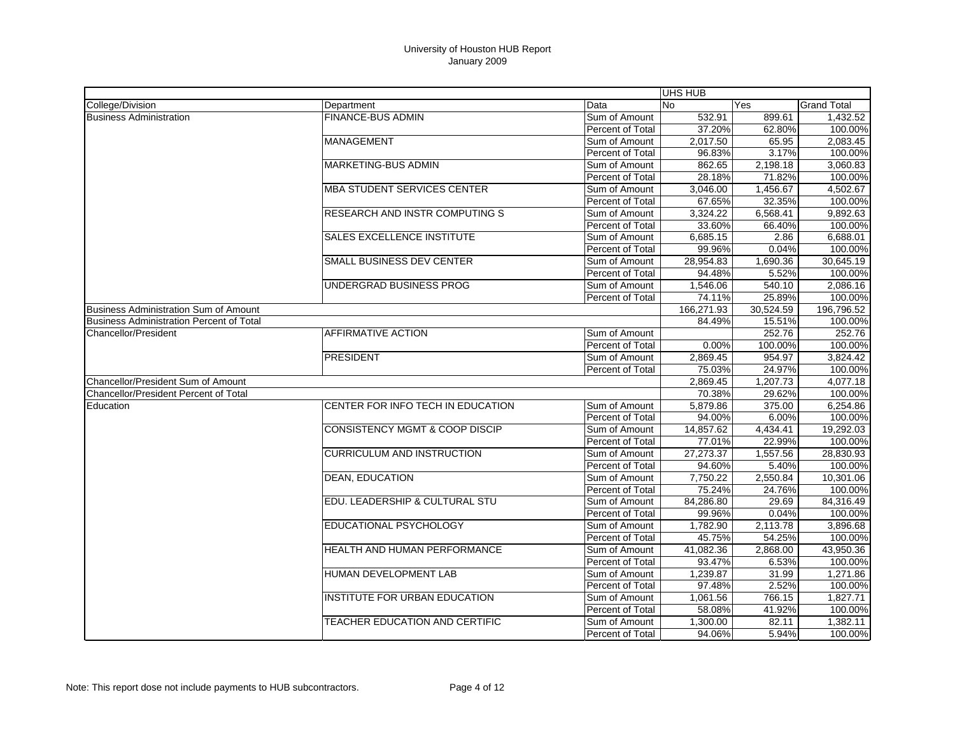| <b>No</b><br><b>Grand Total</b><br>Department<br>Data<br>Yes<br><b>FINANCE-BUS ADMIN</b><br>532.91<br>Sum of Amount<br>899.61<br>1,432.52<br>37.20%<br>Percent of Total<br>62.80%<br>100.00%<br><b>MANAGEMENT</b><br>2,017.50<br>65.95<br>2.083.45<br>Sum of Amount<br>96.83%<br>3.17%<br>100.00%<br>Percent of Total<br><b>MARKETING-BUS ADMIN</b><br>2.198.18<br>3.060.83<br>Sum of Amount<br>862.65<br>28.18%<br>71.82%<br>100.00%<br>Percent of Total<br><b>MBA STUDENT SERVICES CENTER</b><br>4,502.67<br>Sum of Amount<br>3,046.00<br>1,456.67<br>100.00%<br>Percent of Total<br>67.65%<br>32.35%<br><b>RESEARCH AND INSTR COMPUTING S</b><br>6,568.41<br>9,892.63<br>Sum of Amount<br>3,324.22<br>33.60%<br>100.00%<br>Percent of Total<br>66.40%<br><b>SALES EXCELLENCE INSTITUTE</b><br>6,688.01<br>Sum of Amount<br>6,685.15<br>2.86<br>99.96%<br>0.04%<br>100.00%<br>Percent of Total<br><b>SMALL BUSINESS DEV CENTER</b><br>28,954.83<br>1,690.36<br>30,645.19<br>Sum of Amount<br>Percent of Total<br>94.48%<br>5.52%<br>100.00%<br>UNDERGRAD BUSINESS PROG<br>540.10<br>2,086.16<br>Sum of Amount<br>1,546.06<br>100.00%<br>74.11%<br>25.89%<br>Percent of Total<br>Business Administration Sum of Amount<br>166,271.93<br>30,524.59<br>196,796.52<br><b>Business Administration Percent of Total</b><br>84.49%<br>15.51%<br>100.00%<br>AFFIRMATIVE ACTION<br>Sum of Amount<br>252.76<br>252.76<br>Percent of Total<br>0.00%<br>100.00%<br>100.00%<br><b>PRESIDENT</b><br>954.97<br>3.824.42<br>Sum of Amount<br>2.869.45<br>24.97%<br><b>Percent of Total</b><br>75.03%<br>100.00%<br>Chancellor/President Sum of Amount<br>2,869.45<br>1,207.73<br>4,077.18<br>100.00%<br>70.38%<br>29.62%<br>6,254.86<br>CENTER FOR INFO TECH IN EDUCATION<br>Sum of Amount<br>5,879.86<br>375.00<br>94.00%<br>6.00%<br>100.00%<br>Percent of Total<br>CONSISTENCY MGMT & COOP DISCIP<br>19,292.03<br>Sum of Amount<br>14,857.62<br>4,434.41<br>100.00%<br>Percent of Total<br>77.01%<br>22.99%<br><b>CURRICULUM AND INSTRUCTION</b><br>27,273.37<br>1,557.56<br>28,830.93<br>Sum of Amount<br>Percent of Total<br>5.40%<br>100.00%<br>94.60%<br><b>DEAN, EDUCATION</b><br>7,750.22<br>2,550.84<br>10,301.06<br>Sum of Amount<br>75.24%<br>24.76%<br>100.00%<br>Percent of Total<br>EDU. LEADERSHIP & CULTURAL STU<br>84,316.49<br>84,286.80<br>29.69<br>Sum of Amount<br>0.04%<br>100.00%<br>Percent of Total<br>99.96%<br>EDUCATIONAL PSYCHOLOGY<br>1,782.90<br>2,113.78<br>3,896.68<br>Sum of Amount<br>45.75%<br>54.25%<br>100.00%<br>Percent of Total<br><b>HEALTH AND HUMAN PERFORMANCE</b><br>41.082.36<br>2.868.00<br>43.950.36<br>Sum of Amount<br>100.00%<br>Percent of Total<br>93.47%<br>6.53%<br>HUMAN DEVELOPMENT LAB<br>1,239.87<br>31.99<br>1,271.86<br>Sum of Amount<br>2.52%<br>Percent of Total<br>97.48%<br>100.00%<br>INSTITUTE FOR URBAN EDUCATION<br>766.15<br>1.827.71<br>Sum of Amount<br>1,061.56<br>58.08%<br>41.92%<br>100.00%<br>Percent of Total |                                              |  | UHS HUB |  |
|---------------------------------------------------------------------------------------------------------------------------------------------------------------------------------------------------------------------------------------------------------------------------------------------------------------------------------------------------------------------------------------------------------------------------------------------------------------------------------------------------------------------------------------------------------------------------------------------------------------------------------------------------------------------------------------------------------------------------------------------------------------------------------------------------------------------------------------------------------------------------------------------------------------------------------------------------------------------------------------------------------------------------------------------------------------------------------------------------------------------------------------------------------------------------------------------------------------------------------------------------------------------------------------------------------------------------------------------------------------------------------------------------------------------------------------------------------------------------------------------------------------------------------------------------------------------------------------------------------------------------------------------------------------------------------------------------------------------------------------------------------------------------------------------------------------------------------------------------------------------------------------------------------------------------------------------------------------------------------------------------------------------------------------------------------------------------------------------------------------------------------------------------------------------------------------------------------------------------------------------------------------------------------------------------------------------------------------------------------------------------------------------------------------------------------------------------------------------------------------------------------------------------------------------------------------------------------------------------------------------------------------------------------------------------------------------------------------------------------------------------------------------------------------------------------------------------------------------------------------------------------------------------------------------------------------------------------------------------------|----------------------------------------------|--|---------|--|
|                                                                                                                                                                                                                                                                                                                                                                                                                                                                                                                                                                                                                                                                                                                                                                                                                                                                                                                                                                                                                                                                                                                                                                                                                                                                                                                                                                                                                                                                                                                                                                                                                                                                                                                                                                                                                                                                                                                                                                                                                                                                                                                                                                                                                                                                                                                                                                                                                                                                                                                                                                                                                                                                                                                                                                                                                                                                                                                                                                                 | College/Division                             |  |         |  |
|                                                                                                                                                                                                                                                                                                                                                                                                                                                                                                                                                                                                                                                                                                                                                                                                                                                                                                                                                                                                                                                                                                                                                                                                                                                                                                                                                                                                                                                                                                                                                                                                                                                                                                                                                                                                                                                                                                                                                                                                                                                                                                                                                                                                                                                                                                                                                                                                                                                                                                                                                                                                                                                                                                                                                                                                                                                                                                                                                                                 | <b>Business Administration</b>               |  |         |  |
|                                                                                                                                                                                                                                                                                                                                                                                                                                                                                                                                                                                                                                                                                                                                                                                                                                                                                                                                                                                                                                                                                                                                                                                                                                                                                                                                                                                                                                                                                                                                                                                                                                                                                                                                                                                                                                                                                                                                                                                                                                                                                                                                                                                                                                                                                                                                                                                                                                                                                                                                                                                                                                                                                                                                                                                                                                                                                                                                                                                 |                                              |  |         |  |
|                                                                                                                                                                                                                                                                                                                                                                                                                                                                                                                                                                                                                                                                                                                                                                                                                                                                                                                                                                                                                                                                                                                                                                                                                                                                                                                                                                                                                                                                                                                                                                                                                                                                                                                                                                                                                                                                                                                                                                                                                                                                                                                                                                                                                                                                                                                                                                                                                                                                                                                                                                                                                                                                                                                                                                                                                                                                                                                                                                                 |                                              |  |         |  |
|                                                                                                                                                                                                                                                                                                                                                                                                                                                                                                                                                                                                                                                                                                                                                                                                                                                                                                                                                                                                                                                                                                                                                                                                                                                                                                                                                                                                                                                                                                                                                                                                                                                                                                                                                                                                                                                                                                                                                                                                                                                                                                                                                                                                                                                                                                                                                                                                                                                                                                                                                                                                                                                                                                                                                                                                                                                                                                                                                                                 |                                              |  |         |  |
|                                                                                                                                                                                                                                                                                                                                                                                                                                                                                                                                                                                                                                                                                                                                                                                                                                                                                                                                                                                                                                                                                                                                                                                                                                                                                                                                                                                                                                                                                                                                                                                                                                                                                                                                                                                                                                                                                                                                                                                                                                                                                                                                                                                                                                                                                                                                                                                                                                                                                                                                                                                                                                                                                                                                                                                                                                                                                                                                                                                 |                                              |  |         |  |
|                                                                                                                                                                                                                                                                                                                                                                                                                                                                                                                                                                                                                                                                                                                                                                                                                                                                                                                                                                                                                                                                                                                                                                                                                                                                                                                                                                                                                                                                                                                                                                                                                                                                                                                                                                                                                                                                                                                                                                                                                                                                                                                                                                                                                                                                                                                                                                                                                                                                                                                                                                                                                                                                                                                                                                                                                                                                                                                                                                                 |                                              |  |         |  |
|                                                                                                                                                                                                                                                                                                                                                                                                                                                                                                                                                                                                                                                                                                                                                                                                                                                                                                                                                                                                                                                                                                                                                                                                                                                                                                                                                                                                                                                                                                                                                                                                                                                                                                                                                                                                                                                                                                                                                                                                                                                                                                                                                                                                                                                                                                                                                                                                                                                                                                                                                                                                                                                                                                                                                                                                                                                                                                                                                                                 |                                              |  |         |  |
|                                                                                                                                                                                                                                                                                                                                                                                                                                                                                                                                                                                                                                                                                                                                                                                                                                                                                                                                                                                                                                                                                                                                                                                                                                                                                                                                                                                                                                                                                                                                                                                                                                                                                                                                                                                                                                                                                                                                                                                                                                                                                                                                                                                                                                                                                                                                                                                                                                                                                                                                                                                                                                                                                                                                                                                                                                                                                                                                                                                 |                                              |  |         |  |
|                                                                                                                                                                                                                                                                                                                                                                                                                                                                                                                                                                                                                                                                                                                                                                                                                                                                                                                                                                                                                                                                                                                                                                                                                                                                                                                                                                                                                                                                                                                                                                                                                                                                                                                                                                                                                                                                                                                                                                                                                                                                                                                                                                                                                                                                                                                                                                                                                                                                                                                                                                                                                                                                                                                                                                                                                                                                                                                                                                                 |                                              |  |         |  |
|                                                                                                                                                                                                                                                                                                                                                                                                                                                                                                                                                                                                                                                                                                                                                                                                                                                                                                                                                                                                                                                                                                                                                                                                                                                                                                                                                                                                                                                                                                                                                                                                                                                                                                                                                                                                                                                                                                                                                                                                                                                                                                                                                                                                                                                                                                                                                                                                                                                                                                                                                                                                                                                                                                                                                                                                                                                                                                                                                                                 |                                              |  |         |  |
|                                                                                                                                                                                                                                                                                                                                                                                                                                                                                                                                                                                                                                                                                                                                                                                                                                                                                                                                                                                                                                                                                                                                                                                                                                                                                                                                                                                                                                                                                                                                                                                                                                                                                                                                                                                                                                                                                                                                                                                                                                                                                                                                                                                                                                                                                                                                                                                                                                                                                                                                                                                                                                                                                                                                                                                                                                                                                                                                                                                 |                                              |  |         |  |
|                                                                                                                                                                                                                                                                                                                                                                                                                                                                                                                                                                                                                                                                                                                                                                                                                                                                                                                                                                                                                                                                                                                                                                                                                                                                                                                                                                                                                                                                                                                                                                                                                                                                                                                                                                                                                                                                                                                                                                                                                                                                                                                                                                                                                                                                                                                                                                                                                                                                                                                                                                                                                                                                                                                                                                                                                                                                                                                                                                                 |                                              |  |         |  |
|                                                                                                                                                                                                                                                                                                                                                                                                                                                                                                                                                                                                                                                                                                                                                                                                                                                                                                                                                                                                                                                                                                                                                                                                                                                                                                                                                                                                                                                                                                                                                                                                                                                                                                                                                                                                                                                                                                                                                                                                                                                                                                                                                                                                                                                                                                                                                                                                                                                                                                                                                                                                                                                                                                                                                                                                                                                                                                                                                                                 |                                              |  |         |  |
|                                                                                                                                                                                                                                                                                                                                                                                                                                                                                                                                                                                                                                                                                                                                                                                                                                                                                                                                                                                                                                                                                                                                                                                                                                                                                                                                                                                                                                                                                                                                                                                                                                                                                                                                                                                                                                                                                                                                                                                                                                                                                                                                                                                                                                                                                                                                                                                                                                                                                                                                                                                                                                                                                                                                                                                                                                                                                                                                                                                 |                                              |  |         |  |
|                                                                                                                                                                                                                                                                                                                                                                                                                                                                                                                                                                                                                                                                                                                                                                                                                                                                                                                                                                                                                                                                                                                                                                                                                                                                                                                                                                                                                                                                                                                                                                                                                                                                                                                                                                                                                                                                                                                                                                                                                                                                                                                                                                                                                                                                                                                                                                                                                                                                                                                                                                                                                                                                                                                                                                                                                                                                                                                                                                                 |                                              |  |         |  |
|                                                                                                                                                                                                                                                                                                                                                                                                                                                                                                                                                                                                                                                                                                                                                                                                                                                                                                                                                                                                                                                                                                                                                                                                                                                                                                                                                                                                                                                                                                                                                                                                                                                                                                                                                                                                                                                                                                                                                                                                                                                                                                                                                                                                                                                                                                                                                                                                                                                                                                                                                                                                                                                                                                                                                                                                                                                                                                                                                                                 |                                              |  |         |  |
|                                                                                                                                                                                                                                                                                                                                                                                                                                                                                                                                                                                                                                                                                                                                                                                                                                                                                                                                                                                                                                                                                                                                                                                                                                                                                                                                                                                                                                                                                                                                                                                                                                                                                                                                                                                                                                                                                                                                                                                                                                                                                                                                                                                                                                                                                                                                                                                                                                                                                                                                                                                                                                                                                                                                                                                                                                                                                                                                                                                 |                                              |  |         |  |
|                                                                                                                                                                                                                                                                                                                                                                                                                                                                                                                                                                                                                                                                                                                                                                                                                                                                                                                                                                                                                                                                                                                                                                                                                                                                                                                                                                                                                                                                                                                                                                                                                                                                                                                                                                                                                                                                                                                                                                                                                                                                                                                                                                                                                                                                                                                                                                                                                                                                                                                                                                                                                                                                                                                                                                                                                                                                                                                                                                                 |                                              |  |         |  |
|                                                                                                                                                                                                                                                                                                                                                                                                                                                                                                                                                                                                                                                                                                                                                                                                                                                                                                                                                                                                                                                                                                                                                                                                                                                                                                                                                                                                                                                                                                                                                                                                                                                                                                                                                                                                                                                                                                                                                                                                                                                                                                                                                                                                                                                                                                                                                                                                                                                                                                                                                                                                                                                                                                                                                                                                                                                                                                                                                                                 | Chancellor/President                         |  |         |  |
|                                                                                                                                                                                                                                                                                                                                                                                                                                                                                                                                                                                                                                                                                                                                                                                                                                                                                                                                                                                                                                                                                                                                                                                                                                                                                                                                                                                                                                                                                                                                                                                                                                                                                                                                                                                                                                                                                                                                                                                                                                                                                                                                                                                                                                                                                                                                                                                                                                                                                                                                                                                                                                                                                                                                                                                                                                                                                                                                                                                 |                                              |  |         |  |
|                                                                                                                                                                                                                                                                                                                                                                                                                                                                                                                                                                                                                                                                                                                                                                                                                                                                                                                                                                                                                                                                                                                                                                                                                                                                                                                                                                                                                                                                                                                                                                                                                                                                                                                                                                                                                                                                                                                                                                                                                                                                                                                                                                                                                                                                                                                                                                                                                                                                                                                                                                                                                                                                                                                                                                                                                                                                                                                                                                                 |                                              |  |         |  |
|                                                                                                                                                                                                                                                                                                                                                                                                                                                                                                                                                                                                                                                                                                                                                                                                                                                                                                                                                                                                                                                                                                                                                                                                                                                                                                                                                                                                                                                                                                                                                                                                                                                                                                                                                                                                                                                                                                                                                                                                                                                                                                                                                                                                                                                                                                                                                                                                                                                                                                                                                                                                                                                                                                                                                                                                                                                                                                                                                                                 |                                              |  |         |  |
|                                                                                                                                                                                                                                                                                                                                                                                                                                                                                                                                                                                                                                                                                                                                                                                                                                                                                                                                                                                                                                                                                                                                                                                                                                                                                                                                                                                                                                                                                                                                                                                                                                                                                                                                                                                                                                                                                                                                                                                                                                                                                                                                                                                                                                                                                                                                                                                                                                                                                                                                                                                                                                                                                                                                                                                                                                                                                                                                                                                 |                                              |  |         |  |
|                                                                                                                                                                                                                                                                                                                                                                                                                                                                                                                                                                                                                                                                                                                                                                                                                                                                                                                                                                                                                                                                                                                                                                                                                                                                                                                                                                                                                                                                                                                                                                                                                                                                                                                                                                                                                                                                                                                                                                                                                                                                                                                                                                                                                                                                                                                                                                                                                                                                                                                                                                                                                                                                                                                                                                                                                                                                                                                                                                                 | <b>Chancellor/President Percent of Total</b> |  |         |  |
|                                                                                                                                                                                                                                                                                                                                                                                                                                                                                                                                                                                                                                                                                                                                                                                                                                                                                                                                                                                                                                                                                                                                                                                                                                                                                                                                                                                                                                                                                                                                                                                                                                                                                                                                                                                                                                                                                                                                                                                                                                                                                                                                                                                                                                                                                                                                                                                                                                                                                                                                                                                                                                                                                                                                                                                                                                                                                                                                                                                 | Education                                    |  |         |  |
|                                                                                                                                                                                                                                                                                                                                                                                                                                                                                                                                                                                                                                                                                                                                                                                                                                                                                                                                                                                                                                                                                                                                                                                                                                                                                                                                                                                                                                                                                                                                                                                                                                                                                                                                                                                                                                                                                                                                                                                                                                                                                                                                                                                                                                                                                                                                                                                                                                                                                                                                                                                                                                                                                                                                                                                                                                                                                                                                                                                 |                                              |  |         |  |
|                                                                                                                                                                                                                                                                                                                                                                                                                                                                                                                                                                                                                                                                                                                                                                                                                                                                                                                                                                                                                                                                                                                                                                                                                                                                                                                                                                                                                                                                                                                                                                                                                                                                                                                                                                                                                                                                                                                                                                                                                                                                                                                                                                                                                                                                                                                                                                                                                                                                                                                                                                                                                                                                                                                                                                                                                                                                                                                                                                                 |                                              |  |         |  |
|                                                                                                                                                                                                                                                                                                                                                                                                                                                                                                                                                                                                                                                                                                                                                                                                                                                                                                                                                                                                                                                                                                                                                                                                                                                                                                                                                                                                                                                                                                                                                                                                                                                                                                                                                                                                                                                                                                                                                                                                                                                                                                                                                                                                                                                                                                                                                                                                                                                                                                                                                                                                                                                                                                                                                                                                                                                                                                                                                                                 |                                              |  |         |  |
|                                                                                                                                                                                                                                                                                                                                                                                                                                                                                                                                                                                                                                                                                                                                                                                                                                                                                                                                                                                                                                                                                                                                                                                                                                                                                                                                                                                                                                                                                                                                                                                                                                                                                                                                                                                                                                                                                                                                                                                                                                                                                                                                                                                                                                                                                                                                                                                                                                                                                                                                                                                                                                                                                                                                                                                                                                                                                                                                                                                 |                                              |  |         |  |
|                                                                                                                                                                                                                                                                                                                                                                                                                                                                                                                                                                                                                                                                                                                                                                                                                                                                                                                                                                                                                                                                                                                                                                                                                                                                                                                                                                                                                                                                                                                                                                                                                                                                                                                                                                                                                                                                                                                                                                                                                                                                                                                                                                                                                                                                                                                                                                                                                                                                                                                                                                                                                                                                                                                                                                                                                                                                                                                                                                                 |                                              |  |         |  |
|                                                                                                                                                                                                                                                                                                                                                                                                                                                                                                                                                                                                                                                                                                                                                                                                                                                                                                                                                                                                                                                                                                                                                                                                                                                                                                                                                                                                                                                                                                                                                                                                                                                                                                                                                                                                                                                                                                                                                                                                                                                                                                                                                                                                                                                                                                                                                                                                                                                                                                                                                                                                                                                                                                                                                                                                                                                                                                                                                                                 |                                              |  |         |  |
|                                                                                                                                                                                                                                                                                                                                                                                                                                                                                                                                                                                                                                                                                                                                                                                                                                                                                                                                                                                                                                                                                                                                                                                                                                                                                                                                                                                                                                                                                                                                                                                                                                                                                                                                                                                                                                                                                                                                                                                                                                                                                                                                                                                                                                                                                                                                                                                                                                                                                                                                                                                                                                                                                                                                                                                                                                                                                                                                                                                 |                                              |  |         |  |
|                                                                                                                                                                                                                                                                                                                                                                                                                                                                                                                                                                                                                                                                                                                                                                                                                                                                                                                                                                                                                                                                                                                                                                                                                                                                                                                                                                                                                                                                                                                                                                                                                                                                                                                                                                                                                                                                                                                                                                                                                                                                                                                                                                                                                                                                                                                                                                                                                                                                                                                                                                                                                                                                                                                                                                                                                                                                                                                                                                                 |                                              |  |         |  |
|                                                                                                                                                                                                                                                                                                                                                                                                                                                                                                                                                                                                                                                                                                                                                                                                                                                                                                                                                                                                                                                                                                                                                                                                                                                                                                                                                                                                                                                                                                                                                                                                                                                                                                                                                                                                                                                                                                                                                                                                                                                                                                                                                                                                                                                                                                                                                                                                                                                                                                                                                                                                                                                                                                                                                                                                                                                                                                                                                                                 |                                              |  |         |  |
|                                                                                                                                                                                                                                                                                                                                                                                                                                                                                                                                                                                                                                                                                                                                                                                                                                                                                                                                                                                                                                                                                                                                                                                                                                                                                                                                                                                                                                                                                                                                                                                                                                                                                                                                                                                                                                                                                                                                                                                                                                                                                                                                                                                                                                                                                                                                                                                                                                                                                                                                                                                                                                                                                                                                                                                                                                                                                                                                                                                 |                                              |  |         |  |
|                                                                                                                                                                                                                                                                                                                                                                                                                                                                                                                                                                                                                                                                                                                                                                                                                                                                                                                                                                                                                                                                                                                                                                                                                                                                                                                                                                                                                                                                                                                                                                                                                                                                                                                                                                                                                                                                                                                                                                                                                                                                                                                                                                                                                                                                                                                                                                                                                                                                                                                                                                                                                                                                                                                                                                                                                                                                                                                                                                                 |                                              |  |         |  |
|                                                                                                                                                                                                                                                                                                                                                                                                                                                                                                                                                                                                                                                                                                                                                                                                                                                                                                                                                                                                                                                                                                                                                                                                                                                                                                                                                                                                                                                                                                                                                                                                                                                                                                                                                                                                                                                                                                                                                                                                                                                                                                                                                                                                                                                                                                                                                                                                                                                                                                                                                                                                                                                                                                                                                                                                                                                                                                                                                                                 |                                              |  |         |  |
|                                                                                                                                                                                                                                                                                                                                                                                                                                                                                                                                                                                                                                                                                                                                                                                                                                                                                                                                                                                                                                                                                                                                                                                                                                                                                                                                                                                                                                                                                                                                                                                                                                                                                                                                                                                                                                                                                                                                                                                                                                                                                                                                                                                                                                                                                                                                                                                                                                                                                                                                                                                                                                                                                                                                                                                                                                                                                                                                                                                 |                                              |  |         |  |
|                                                                                                                                                                                                                                                                                                                                                                                                                                                                                                                                                                                                                                                                                                                                                                                                                                                                                                                                                                                                                                                                                                                                                                                                                                                                                                                                                                                                                                                                                                                                                                                                                                                                                                                                                                                                                                                                                                                                                                                                                                                                                                                                                                                                                                                                                                                                                                                                                                                                                                                                                                                                                                                                                                                                                                                                                                                                                                                                                                                 |                                              |  |         |  |
|                                                                                                                                                                                                                                                                                                                                                                                                                                                                                                                                                                                                                                                                                                                                                                                                                                                                                                                                                                                                                                                                                                                                                                                                                                                                                                                                                                                                                                                                                                                                                                                                                                                                                                                                                                                                                                                                                                                                                                                                                                                                                                                                                                                                                                                                                                                                                                                                                                                                                                                                                                                                                                                                                                                                                                                                                                                                                                                                                                                 |                                              |  |         |  |
|                                                                                                                                                                                                                                                                                                                                                                                                                                                                                                                                                                                                                                                                                                                                                                                                                                                                                                                                                                                                                                                                                                                                                                                                                                                                                                                                                                                                                                                                                                                                                                                                                                                                                                                                                                                                                                                                                                                                                                                                                                                                                                                                                                                                                                                                                                                                                                                                                                                                                                                                                                                                                                                                                                                                                                                                                                                                                                                                                                                 |                                              |  |         |  |
|                                                                                                                                                                                                                                                                                                                                                                                                                                                                                                                                                                                                                                                                                                                                                                                                                                                                                                                                                                                                                                                                                                                                                                                                                                                                                                                                                                                                                                                                                                                                                                                                                                                                                                                                                                                                                                                                                                                                                                                                                                                                                                                                                                                                                                                                                                                                                                                                                                                                                                                                                                                                                                                                                                                                                                                                                                                                                                                                                                                 |                                              |  |         |  |
| TEACHER EDUCATION AND CERTIFIC<br>Sum of Amount<br>1,300.00<br>1,382.11<br>82.11                                                                                                                                                                                                                                                                                                                                                                                                                                                                                                                                                                                                                                                                                                                                                                                                                                                                                                                                                                                                                                                                                                                                                                                                                                                                                                                                                                                                                                                                                                                                                                                                                                                                                                                                                                                                                                                                                                                                                                                                                                                                                                                                                                                                                                                                                                                                                                                                                                                                                                                                                                                                                                                                                                                                                                                                                                                                                                |                                              |  |         |  |
| 94.06%<br>5.94%<br>100.00%<br><b>Percent of Total</b>                                                                                                                                                                                                                                                                                                                                                                                                                                                                                                                                                                                                                                                                                                                                                                                                                                                                                                                                                                                                                                                                                                                                                                                                                                                                                                                                                                                                                                                                                                                                                                                                                                                                                                                                                                                                                                                                                                                                                                                                                                                                                                                                                                                                                                                                                                                                                                                                                                                                                                                                                                                                                                                                                                                                                                                                                                                                                                                           |                                              |  |         |  |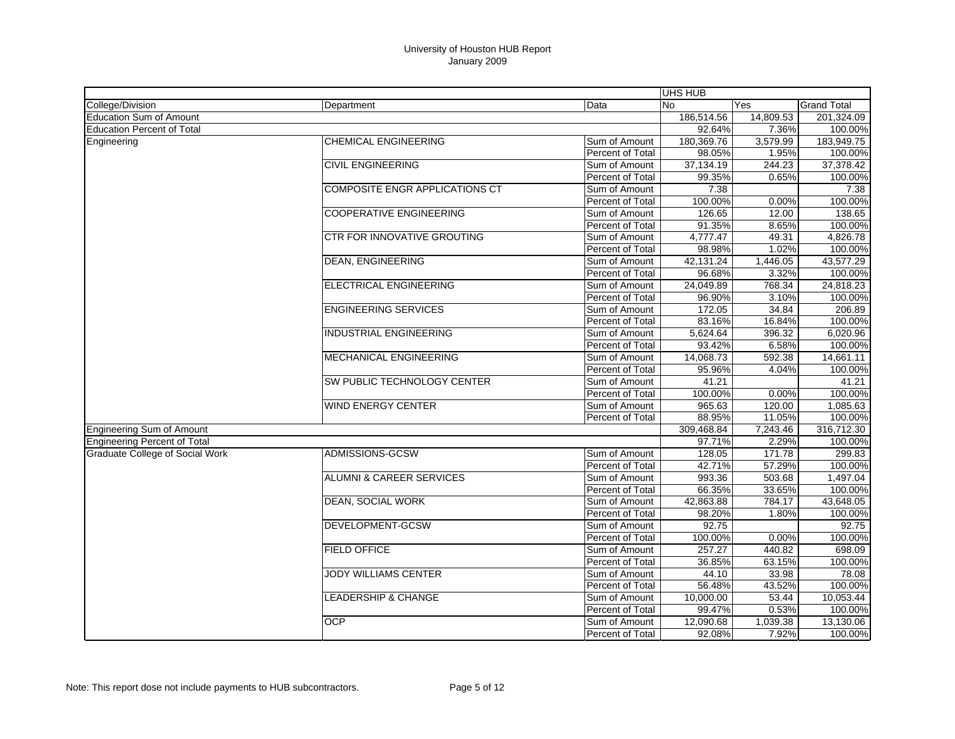|                                        |                                       |                  | UHS HUB    |           |                    |
|----------------------------------------|---------------------------------------|------------------|------------|-----------|--------------------|
| College/Division                       | Department                            | Data             | <b>No</b>  | Yes       | <b>Grand Total</b> |
| <b>Education Sum of Amount</b>         |                                       |                  | 186,514.56 | 14,809.53 | 201,324.09         |
| <b>Education Percent of Total</b>      |                                       |                  | 92.64%     | 7.36%     | 100.00%            |
| Engineering                            | <b>CHEMICAL ENGINEERING</b>           | Sum of Amount    | 180,369.76 | 3,579.99  | 183,949.75         |
|                                        |                                       | Percent of Total | 98.05%     | 1.95%     | 100.00%            |
|                                        | <b>CIVIL ENGINEERING</b>              | Sum of Amount    | 37,134.19  | 244.23    | 37,378.42          |
|                                        |                                       | Percent of Total | 99.35%     | 0.65%     | 100.00%            |
|                                        | <b>COMPOSITE ENGR APPLICATIONS CT</b> | Sum of Amount    | 7.38       |           | 7.38               |
|                                        |                                       | Percent of Total | 100.00%    | 0.00%     | 100.00%            |
|                                        | <b>COOPERATIVE ENGINEERING</b>        | Sum of Amount    | 126.65     | 12.00     | 138.65             |
|                                        |                                       | Percent of Total | 91.35%     | 8.65%     | 100.00%            |
|                                        | <b>CTR FOR INNOVATIVE GROUTING</b>    | Sum of Amount    | 4,777.47   | 49.31     | 4,826.78           |
|                                        |                                       | Percent of Total | 98.98%     | 1.02%     | 100.00%            |
|                                        | <b>DEAN, ENGINEERING</b>              | Sum of Amount    | 42,131.24  | 1,446.05  | 43,577.29          |
|                                        |                                       | Percent of Total | 96.68%     | 3.32%     | 100.00%            |
|                                        | ELECTRICAL ENGINEERING                | Sum of Amount    | 24,049.89  | 768.34    | 24,818.23          |
|                                        |                                       | Percent of Total | 96.90%     | 3.10%     | 100.00%            |
|                                        | <b>ENGINEERING SERVICES</b>           | Sum of Amount    | 172.05     | 34.84     | 206.89             |
|                                        |                                       | Percent of Total | 83.16%     | 16.84%    | 100.00%            |
|                                        | <b>INDUSTRIAL ENGINEERING</b>         | Sum of Amount    | 5,624.64   | 396.32    | 6,020.96           |
|                                        |                                       | Percent of Total | 93.42%     | 6.58%     | 100.00%            |
|                                        | MECHANICAL ENGINEERING                | Sum of Amount    | 14,068.73  | 592.38    | 14,661.11          |
|                                        |                                       | Percent of Total | 95.96%     | 4.04%     | 100.00%            |
|                                        | SW PUBLIC TECHNOLOGY CENTER           | Sum of Amount    | 41.21      |           | 41.21              |
|                                        |                                       | Percent of Total | 100.00%    | 0.00%     | 100.00%            |
|                                        | <b>WIND ENERGY CENTER</b>             | Sum of Amount    | 965.63     | 120.00    | 1,085.63           |
|                                        |                                       | Percent of Total | 88.95%     | 11.05%    | 100.00%            |
| <b>Engineering Sum of Amount</b>       |                                       |                  | 309,468.84 | 7,243.46  | 316,712.30         |
| <b>Engineering Percent of Total</b>    |                                       |                  | 97.71%     | 2.29%     | 100.00%            |
| <b>Graduate College of Social Work</b> | <b>ADMISSIONS-GCSW</b>                | Sum of Amount    | 128.05     | 171.78    | 299.83             |
|                                        |                                       | Percent of Total | 42.71%     | 57.29%    | 100.00%            |
|                                        | <b>ALUMNI &amp; CAREER SERVICES</b>   | Sum of Amount    | 993.36     | 503.68    | 1,497.04           |
|                                        |                                       | Percent of Total | 66.35%     | 33.65%    | 100.00%            |
|                                        | <b>DEAN, SOCIAL WORK</b>              | Sum of Amount    | 42,863.88  | 784.17    | 43,648.05          |
|                                        |                                       | Percent of Total | 98.20%     | 1.80%     | 100.00%            |
|                                        | DEVELOPMENT-GCSW                      | Sum of Amount    | 92.75      |           | 92.75              |
|                                        |                                       | Percent of Total | 100.00%    | 0.00%     | 100.00%            |
|                                        | <b>FIELD OFFICE</b>                   | Sum of Amount    | 257.27     | 440.82    | 698.09             |
|                                        |                                       | Percent of Total | 36.85%     | 63.15%    | 100.00%            |
|                                        | <b>JODY WILLIAMS CENTER</b>           | Sum of Amount    | 44.10      | 33.98     | 78.08              |
|                                        |                                       | Percent of Total | 56.48%     | 43.52%    | 100.00%            |
|                                        | <b>LEADERSHIP &amp; CHANGE</b>        | Sum of Amount    | 10,000.00  | 53.44     | 10,053.44          |
|                                        |                                       | Percent of Total | 99.47%     | 0.53%     | 100.00%            |
|                                        | <b>OCP</b>                            | Sum of Amount    | 12,090.68  | 1,039.38  | 13,130.06          |
|                                        |                                       | Percent of Total | 92.08%     | 7.92%     | 100.00%            |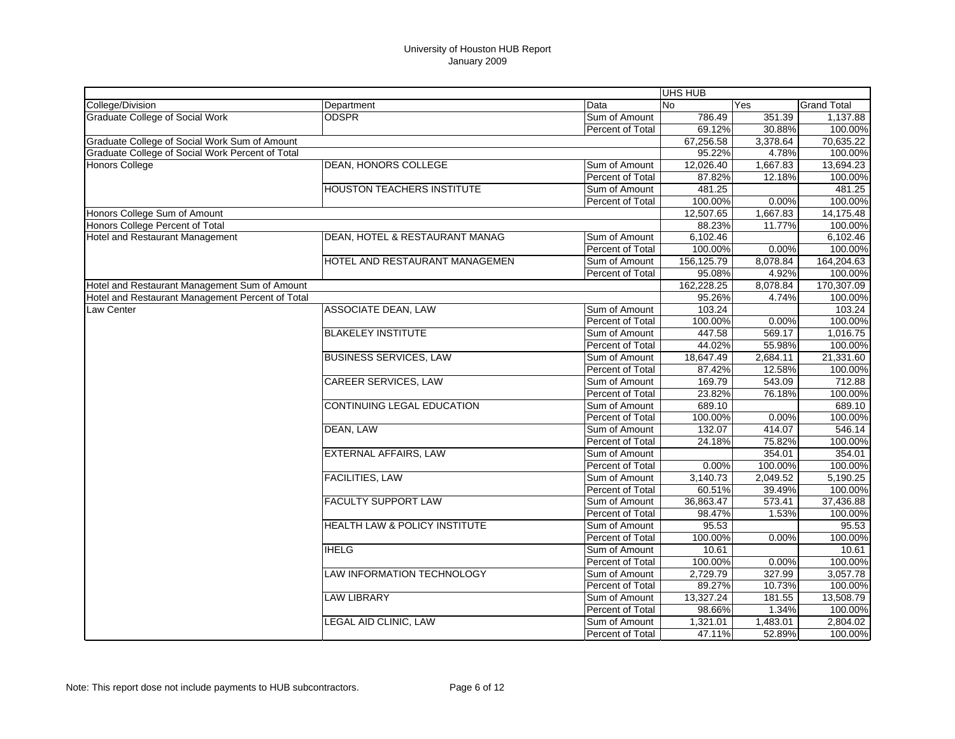|                                                  |                                   |                         | <b>UHS HUB</b> |          |                    |
|--------------------------------------------------|-----------------------------------|-------------------------|----------------|----------|--------------------|
| College/Division                                 | Department                        | Data                    | <b>No</b>      | Yes      | <b>Grand Total</b> |
| <b>Graduate College of Social Work</b>           | <b>ODSPR</b>                      | Sum of Amount           | 786.49         | 351.39   | 1,137.88           |
|                                                  |                                   | Percent of Total        | 69.12%         | 30.88%   | 100.00%            |
| Graduate College of Social Work Sum of Amount    |                                   |                         | 67,256.58      | 3,378.64 | 70,635.22          |
| Graduate College of Social Work Percent of Total |                                   |                         | 95.22%         | 4.78%    | 100.00%            |
| Honors College                                   | DEAN, HONORS COLLEGE              | Sum of Amount           | 12,026.40      | 1,667.83 | 13,694.23          |
|                                                  |                                   | Percent of Total        | 87.82%         | 12.18%   | 100.00%            |
|                                                  | <b>HOUSTON TEACHERS INSTITUTE</b> | Sum of Amount           | 481.25         |          | 481.25             |
|                                                  |                                   | Percent of Total        | 100.00%        | 0.00%    | 100.00%            |
| Honors College Sum of Amount                     |                                   |                         | 12,507.65      | 1,667.83 | 14,175.48          |
| Honors College Percent of Total                  |                                   |                         | 88.23%         | 11.77%   | 100.00%            |
| <b>Hotel and Restaurant Management</b>           | DEAN, HOTEL & RESTAURANT MANAG    | Sum of Amount           | 6,102.46       |          | 6,102.46           |
|                                                  |                                   | Percent of Total        | 100.00%        | 0.00%    | 100.00%            |
|                                                  | HOTEL AND RESTAURANT MANAGEMEN    | Sum of Amount           | 156,125.79     | 8,078.84 | 164,204.63         |
|                                                  |                                   | Percent of Total        | 95.08%         | 4.92%    | 100.00%            |
| Hotel and Restaurant Management Sum of Amount    |                                   |                         | 162,228.25     | 8,078.84 | 170,307.09         |
| Hotel and Restaurant Management Percent of Total |                                   |                         | 95.26%         | 4.74%    | 100.00%            |
| Law Center                                       | <b>ASSOCIATE DEAN, LAW</b>        | Sum of Amount           | 103.24         |          | 103.24             |
|                                                  |                                   | Percent of Total        | 100.00%        | 0.00%    | 100.00%            |
|                                                  | <b>BLAKELEY INSTITUTE</b>         | Sum of Amount           | 447.58         | 569.17   | 1,016.75           |
|                                                  |                                   | Percent of Total        | 44.02%         | 55.98%   | 100.00%            |
|                                                  | <b>BUSINESS SERVICES, LAW</b>     | Sum of Amount           | 18,647.49      | 2,684.11 | 21,331.60          |
|                                                  |                                   | Percent of Total        | 87.42%         | 12.58%   | 100.00%            |
|                                                  | <b>CAREER SERVICES, LAW</b>       | Sum of Amount           | 169.79         | 543.09   | 712.88             |
|                                                  |                                   | Percent of Total        | 23.82%         | 76.18%   | 100.00%            |
|                                                  | <b>CONTINUING LEGAL EDUCATION</b> | Sum of Amount           | 689.10         |          | 689.10             |
|                                                  |                                   | Percent of Total        | 100.00%        | 0.00%    | 100.00%            |
|                                                  | DEAN, LAW                         | Sum of Amount           | 132.07         | 414.07   | 546.14             |
|                                                  |                                   | Percent of Total        | 24.18%         | 75.82%   | 100.00%            |
|                                                  | <b>EXTERNAL AFFAIRS, LAW</b>      | Sum of Amount           |                | 354.01   | 354.01             |
|                                                  |                                   | Percent of Total        | 0.00%          | 100.00%  | 100.00%            |
|                                                  | <b>FACILITIES, LAW</b>            | Sum of Amount           | 3,140.73       | 2,049.52 | 5,190.25           |
|                                                  |                                   | Percent of Total        | 60.51%         | 39.49%   | 100.00%            |
|                                                  | <b>FACULTY SUPPORT LAW</b>        | Sum of Amount           | 36,863.47      | 573.41   | 37,436.88          |
|                                                  |                                   | Percent of Total        | 98.47%         | 1.53%    | 100.00%            |
|                                                  | HEALTH LAW & POLICY INSTITUTE     | Sum of Amount           | 95.53          |          | 95.53              |
|                                                  |                                   | Percent of Total        | 100.00%        | 0.00%    | 100.00%            |
|                                                  | <b>IHELG</b>                      | Sum of Amount           | 10.61          |          | 10.61              |
|                                                  |                                   | Percent of Total        | 100.00%        | 0.00%    | 100.00%            |
|                                                  | <b>LAW INFORMATION TECHNOLOGY</b> | Sum of Amount           | 2,729.79       | 327.99   | 3,057.78           |
|                                                  |                                   | <b>Percent of Total</b> | 89.27%         | 10.73%   | 100.00%            |
|                                                  | <b>LAW LIBRARY</b>                | Sum of Amount           | 13,327.24      | 181.55   | 13,508.79          |
|                                                  |                                   | Percent of Total        | 98.66%         | 1.34%    | 100.00%            |
|                                                  | <b>LEGAL AID CLINIC, LAW</b>      | Sum of Amount           | 1,321.01       | 1,483.01 | 2,804.02           |
|                                                  |                                   | Percent of Total        | 47.11%         | 52.89%   | 100.00%            |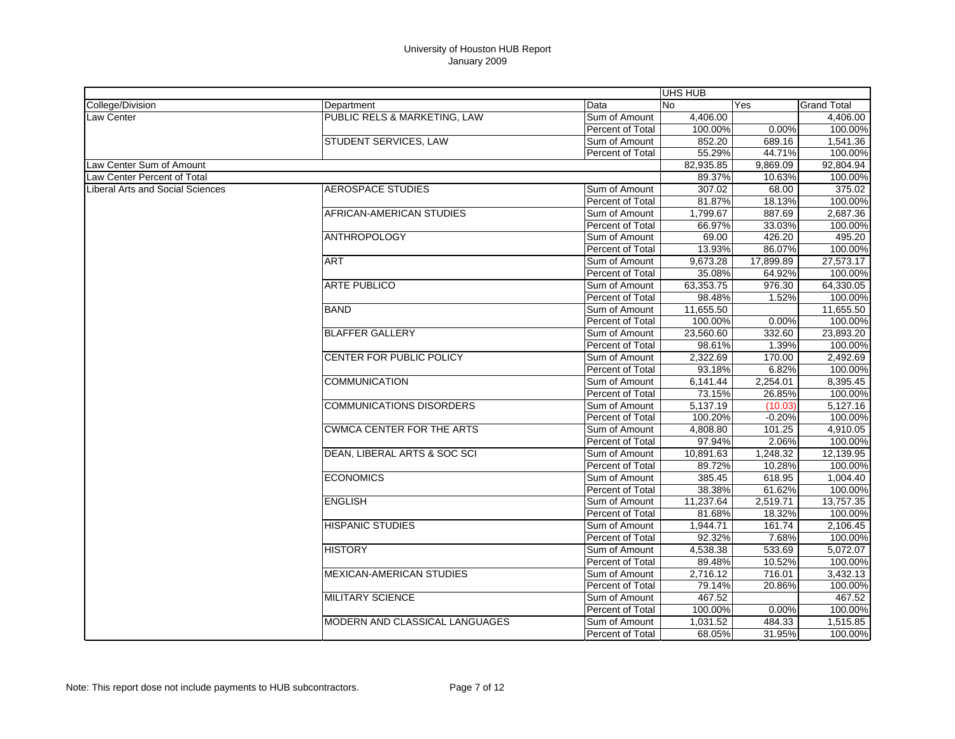| College/Division<br><b>Grand Total</b><br>Department<br>Data<br>No<br>Yes<br>PUBLIC RELS & MARKETING, LAW<br>4,406.00<br><b>Law Center</b><br>Sum of Amount<br>100.00%<br>0.00%<br>Percent of Total<br>STUDENT SERVICES, LAW<br>852.20<br>689.16<br>Sum of Amount<br>55.29%<br>44.71%<br>Percent of Total<br>82,935.85<br>Law Center Sum of Amount<br>9,869.09<br>Law Center Percent of Total<br>89.37%<br>10.63%<br>307.02<br>Liberal Arts and Social Sciences<br>AEROSPACE STUDIES<br>68.00<br>Sum of Amount<br>100.00%<br>Percent of Total<br>81.87%<br>18.13%<br>AFRICAN-AMERICAN STUDIES<br>1,799.67<br>887.69<br>Sum of Amount<br>33.03%<br>66.97%<br>Percent of Total<br><b>ANTHROPOLOGY</b><br>69.00<br>426.20<br>Sum of Amount<br>86.07%<br>13.93%<br>Percent of Total<br><b>ART</b><br>9,673.28<br>17,899.89<br>Sum of Amount<br>35.08%<br>64.92%<br>Percent of Total<br><b>ARTE PUBLICO</b><br>63,353.75<br>976.30<br>Sum of Amount<br>1.52%<br>Percent of Total<br>98.48%<br><b>BAND</b><br>11,655.50<br>Sum of Amount<br>0.00%<br>100.00%<br>Percent of Total<br><b>BLAFFER GALLERY</b><br>Sum of Amount<br>23,560.60<br>332.60<br>1.39%<br>98.61%<br>Percent of Total<br>CENTER FOR PUBLIC POLICY<br>2,322.69<br>170.00<br>Sum of Amount<br>6.82%<br>Percent of Total<br>93.18%<br><b>COMMUNICATION</b><br>6,141.44<br>2,254.01<br>Sum of Amount<br>73.15%<br>26.85%<br>Percent of Total<br><b>COMMUNICATIONS DISORDERS</b><br>5,137.19<br>(10.03)<br>Sum of Amount<br>100.20%<br>$-0.20%$<br>Percent of Total<br><b>CWMCA CENTER FOR THE ARTS</b><br>4,808.80<br>Sum of Amount<br>101.25<br>97.94%<br>2.06%<br><b>Percent of Total</b><br>DEAN, LIBERAL ARTS & SOC SCI<br>10,891.63<br>1,248.32<br>Sum of Amount<br>89.72%<br>10.28%<br>Percent of Total<br><b>ECONOMICS</b><br>385.45<br>618.95<br>Sum of Amount<br><b>Percent of Total</b><br>38.38%<br>61.62%<br><b>ENGLISH</b><br>11,237.64<br>2,519.71<br>Sum of Amount<br>Percent of Total<br>81.68%<br>18.32%<br><b>HISPANIC STUDIES</b><br>Sum of Amount<br>1,944.71<br>161.74<br>92.32%<br>7.68%<br>Percent of Total<br><b>HISTORY</b><br>533.69<br>Sum of Amount<br>4,538.38<br>10.52%<br>Percent of Total<br>89.48%<br><b>MEXICAN-AMERICAN STUDIES</b><br>716.01<br>Sum of Amount<br>2.716.12<br>20.86%<br>Percent of Total<br>79.14%<br><b>MILITARY SCIENCE</b><br>467.52<br>Sum of Amount<br>100.00%<br>100.00%<br>Percent of Total<br>0.00% |                                |               | UHS HUB  |        |           |
|--------------------------------------------------------------------------------------------------------------------------------------------------------------------------------------------------------------------------------------------------------------------------------------------------------------------------------------------------------------------------------------------------------------------------------------------------------------------------------------------------------------------------------------------------------------------------------------------------------------------------------------------------------------------------------------------------------------------------------------------------------------------------------------------------------------------------------------------------------------------------------------------------------------------------------------------------------------------------------------------------------------------------------------------------------------------------------------------------------------------------------------------------------------------------------------------------------------------------------------------------------------------------------------------------------------------------------------------------------------------------------------------------------------------------------------------------------------------------------------------------------------------------------------------------------------------------------------------------------------------------------------------------------------------------------------------------------------------------------------------------------------------------------------------------------------------------------------------------------------------------------------------------------------------------------------------------------------------------------------------------------------------------------------------------------------------------------------------------------------------------------------------------------------------------------------------------------------------------------------------------------------------------------------------------------------------------------------------------------------------------------------------------------------------------|--------------------------------|---------------|----------|--------|-----------|
|                                                                                                                                                                                                                                                                                                                                                                                                                                                                                                                                                                                                                                                                                                                                                                                                                                                                                                                                                                                                                                                                                                                                                                                                                                                                                                                                                                                                                                                                                                                                                                                                                                                                                                                                                                                                                                                                                                                                                                                                                                                                                                                                                                                                                                                                                                                                                                                                                          |                                |               |          |        |           |
|                                                                                                                                                                                                                                                                                                                                                                                                                                                                                                                                                                                                                                                                                                                                                                                                                                                                                                                                                                                                                                                                                                                                                                                                                                                                                                                                                                                                                                                                                                                                                                                                                                                                                                                                                                                                                                                                                                                                                                                                                                                                                                                                                                                                                                                                                                                                                                                                                          |                                |               |          |        | 4,406.00  |
|                                                                                                                                                                                                                                                                                                                                                                                                                                                                                                                                                                                                                                                                                                                                                                                                                                                                                                                                                                                                                                                                                                                                                                                                                                                                                                                                                                                                                                                                                                                                                                                                                                                                                                                                                                                                                                                                                                                                                                                                                                                                                                                                                                                                                                                                                                                                                                                                                          |                                |               |          |        | 100.00%   |
|                                                                                                                                                                                                                                                                                                                                                                                                                                                                                                                                                                                                                                                                                                                                                                                                                                                                                                                                                                                                                                                                                                                                                                                                                                                                                                                                                                                                                                                                                                                                                                                                                                                                                                                                                                                                                                                                                                                                                                                                                                                                                                                                                                                                                                                                                                                                                                                                                          |                                |               |          |        | 1,541.36  |
|                                                                                                                                                                                                                                                                                                                                                                                                                                                                                                                                                                                                                                                                                                                                                                                                                                                                                                                                                                                                                                                                                                                                                                                                                                                                                                                                                                                                                                                                                                                                                                                                                                                                                                                                                                                                                                                                                                                                                                                                                                                                                                                                                                                                                                                                                                                                                                                                                          |                                |               |          |        | 100.00%   |
|                                                                                                                                                                                                                                                                                                                                                                                                                                                                                                                                                                                                                                                                                                                                                                                                                                                                                                                                                                                                                                                                                                                                                                                                                                                                                                                                                                                                                                                                                                                                                                                                                                                                                                                                                                                                                                                                                                                                                                                                                                                                                                                                                                                                                                                                                                                                                                                                                          |                                |               |          |        | 92,804.94 |
|                                                                                                                                                                                                                                                                                                                                                                                                                                                                                                                                                                                                                                                                                                                                                                                                                                                                                                                                                                                                                                                                                                                                                                                                                                                                                                                                                                                                                                                                                                                                                                                                                                                                                                                                                                                                                                                                                                                                                                                                                                                                                                                                                                                                                                                                                                                                                                                                                          |                                |               |          |        | 100.00%   |
|                                                                                                                                                                                                                                                                                                                                                                                                                                                                                                                                                                                                                                                                                                                                                                                                                                                                                                                                                                                                                                                                                                                                                                                                                                                                                                                                                                                                                                                                                                                                                                                                                                                                                                                                                                                                                                                                                                                                                                                                                                                                                                                                                                                                                                                                                                                                                                                                                          |                                |               |          |        | 375.02    |
|                                                                                                                                                                                                                                                                                                                                                                                                                                                                                                                                                                                                                                                                                                                                                                                                                                                                                                                                                                                                                                                                                                                                                                                                                                                                                                                                                                                                                                                                                                                                                                                                                                                                                                                                                                                                                                                                                                                                                                                                                                                                                                                                                                                                                                                                                                                                                                                                                          |                                |               |          |        |           |
|                                                                                                                                                                                                                                                                                                                                                                                                                                                                                                                                                                                                                                                                                                                                                                                                                                                                                                                                                                                                                                                                                                                                                                                                                                                                                                                                                                                                                                                                                                                                                                                                                                                                                                                                                                                                                                                                                                                                                                                                                                                                                                                                                                                                                                                                                                                                                                                                                          |                                |               |          |        | 2,687.36  |
|                                                                                                                                                                                                                                                                                                                                                                                                                                                                                                                                                                                                                                                                                                                                                                                                                                                                                                                                                                                                                                                                                                                                                                                                                                                                                                                                                                                                                                                                                                                                                                                                                                                                                                                                                                                                                                                                                                                                                                                                                                                                                                                                                                                                                                                                                                                                                                                                                          |                                |               |          |        | 100.00%   |
|                                                                                                                                                                                                                                                                                                                                                                                                                                                                                                                                                                                                                                                                                                                                                                                                                                                                                                                                                                                                                                                                                                                                                                                                                                                                                                                                                                                                                                                                                                                                                                                                                                                                                                                                                                                                                                                                                                                                                                                                                                                                                                                                                                                                                                                                                                                                                                                                                          |                                |               |          |        | 495.20    |
|                                                                                                                                                                                                                                                                                                                                                                                                                                                                                                                                                                                                                                                                                                                                                                                                                                                                                                                                                                                                                                                                                                                                                                                                                                                                                                                                                                                                                                                                                                                                                                                                                                                                                                                                                                                                                                                                                                                                                                                                                                                                                                                                                                                                                                                                                                                                                                                                                          |                                |               |          |        | 100.00%   |
|                                                                                                                                                                                                                                                                                                                                                                                                                                                                                                                                                                                                                                                                                                                                                                                                                                                                                                                                                                                                                                                                                                                                                                                                                                                                                                                                                                                                                                                                                                                                                                                                                                                                                                                                                                                                                                                                                                                                                                                                                                                                                                                                                                                                                                                                                                                                                                                                                          |                                |               |          |        | 27,573.17 |
|                                                                                                                                                                                                                                                                                                                                                                                                                                                                                                                                                                                                                                                                                                                                                                                                                                                                                                                                                                                                                                                                                                                                                                                                                                                                                                                                                                                                                                                                                                                                                                                                                                                                                                                                                                                                                                                                                                                                                                                                                                                                                                                                                                                                                                                                                                                                                                                                                          |                                |               |          |        | 100.00%   |
|                                                                                                                                                                                                                                                                                                                                                                                                                                                                                                                                                                                                                                                                                                                                                                                                                                                                                                                                                                                                                                                                                                                                                                                                                                                                                                                                                                                                                                                                                                                                                                                                                                                                                                                                                                                                                                                                                                                                                                                                                                                                                                                                                                                                                                                                                                                                                                                                                          |                                |               |          |        | 64,330.05 |
|                                                                                                                                                                                                                                                                                                                                                                                                                                                                                                                                                                                                                                                                                                                                                                                                                                                                                                                                                                                                                                                                                                                                                                                                                                                                                                                                                                                                                                                                                                                                                                                                                                                                                                                                                                                                                                                                                                                                                                                                                                                                                                                                                                                                                                                                                                                                                                                                                          |                                |               |          |        | 100.00%   |
|                                                                                                                                                                                                                                                                                                                                                                                                                                                                                                                                                                                                                                                                                                                                                                                                                                                                                                                                                                                                                                                                                                                                                                                                                                                                                                                                                                                                                                                                                                                                                                                                                                                                                                                                                                                                                                                                                                                                                                                                                                                                                                                                                                                                                                                                                                                                                                                                                          |                                |               |          |        | 11,655.50 |
|                                                                                                                                                                                                                                                                                                                                                                                                                                                                                                                                                                                                                                                                                                                                                                                                                                                                                                                                                                                                                                                                                                                                                                                                                                                                                                                                                                                                                                                                                                                                                                                                                                                                                                                                                                                                                                                                                                                                                                                                                                                                                                                                                                                                                                                                                                                                                                                                                          |                                |               |          |        | 100.00%   |
|                                                                                                                                                                                                                                                                                                                                                                                                                                                                                                                                                                                                                                                                                                                                                                                                                                                                                                                                                                                                                                                                                                                                                                                                                                                                                                                                                                                                                                                                                                                                                                                                                                                                                                                                                                                                                                                                                                                                                                                                                                                                                                                                                                                                                                                                                                                                                                                                                          |                                |               |          |        | 23,893.20 |
|                                                                                                                                                                                                                                                                                                                                                                                                                                                                                                                                                                                                                                                                                                                                                                                                                                                                                                                                                                                                                                                                                                                                                                                                                                                                                                                                                                                                                                                                                                                                                                                                                                                                                                                                                                                                                                                                                                                                                                                                                                                                                                                                                                                                                                                                                                                                                                                                                          |                                |               |          |        | 100.00%   |
|                                                                                                                                                                                                                                                                                                                                                                                                                                                                                                                                                                                                                                                                                                                                                                                                                                                                                                                                                                                                                                                                                                                                                                                                                                                                                                                                                                                                                                                                                                                                                                                                                                                                                                                                                                                                                                                                                                                                                                                                                                                                                                                                                                                                                                                                                                                                                                                                                          |                                |               |          |        | 2.492.69  |
|                                                                                                                                                                                                                                                                                                                                                                                                                                                                                                                                                                                                                                                                                                                                                                                                                                                                                                                                                                                                                                                                                                                                                                                                                                                                                                                                                                                                                                                                                                                                                                                                                                                                                                                                                                                                                                                                                                                                                                                                                                                                                                                                                                                                                                                                                                                                                                                                                          |                                |               |          |        | 100.00%   |
|                                                                                                                                                                                                                                                                                                                                                                                                                                                                                                                                                                                                                                                                                                                                                                                                                                                                                                                                                                                                                                                                                                                                                                                                                                                                                                                                                                                                                                                                                                                                                                                                                                                                                                                                                                                                                                                                                                                                                                                                                                                                                                                                                                                                                                                                                                                                                                                                                          |                                |               |          |        | 8,395.45  |
|                                                                                                                                                                                                                                                                                                                                                                                                                                                                                                                                                                                                                                                                                                                                                                                                                                                                                                                                                                                                                                                                                                                                                                                                                                                                                                                                                                                                                                                                                                                                                                                                                                                                                                                                                                                                                                                                                                                                                                                                                                                                                                                                                                                                                                                                                                                                                                                                                          |                                |               |          |        | 100.00%   |
|                                                                                                                                                                                                                                                                                                                                                                                                                                                                                                                                                                                                                                                                                                                                                                                                                                                                                                                                                                                                                                                                                                                                                                                                                                                                                                                                                                                                                                                                                                                                                                                                                                                                                                                                                                                                                                                                                                                                                                                                                                                                                                                                                                                                                                                                                                                                                                                                                          |                                |               |          |        | 5,127.16  |
|                                                                                                                                                                                                                                                                                                                                                                                                                                                                                                                                                                                                                                                                                                                                                                                                                                                                                                                                                                                                                                                                                                                                                                                                                                                                                                                                                                                                                                                                                                                                                                                                                                                                                                                                                                                                                                                                                                                                                                                                                                                                                                                                                                                                                                                                                                                                                                                                                          |                                |               |          |        | 100.00%   |
|                                                                                                                                                                                                                                                                                                                                                                                                                                                                                                                                                                                                                                                                                                                                                                                                                                                                                                                                                                                                                                                                                                                                                                                                                                                                                                                                                                                                                                                                                                                                                                                                                                                                                                                                                                                                                                                                                                                                                                                                                                                                                                                                                                                                                                                                                                                                                                                                                          |                                |               |          |        | 4,910.05  |
|                                                                                                                                                                                                                                                                                                                                                                                                                                                                                                                                                                                                                                                                                                                                                                                                                                                                                                                                                                                                                                                                                                                                                                                                                                                                                                                                                                                                                                                                                                                                                                                                                                                                                                                                                                                                                                                                                                                                                                                                                                                                                                                                                                                                                                                                                                                                                                                                                          |                                |               |          |        | 100.00%   |
|                                                                                                                                                                                                                                                                                                                                                                                                                                                                                                                                                                                                                                                                                                                                                                                                                                                                                                                                                                                                                                                                                                                                                                                                                                                                                                                                                                                                                                                                                                                                                                                                                                                                                                                                                                                                                                                                                                                                                                                                                                                                                                                                                                                                                                                                                                                                                                                                                          |                                |               |          |        | 12,139.95 |
|                                                                                                                                                                                                                                                                                                                                                                                                                                                                                                                                                                                                                                                                                                                                                                                                                                                                                                                                                                                                                                                                                                                                                                                                                                                                                                                                                                                                                                                                                                                                                                                                                                                                                                                                                                                                                                                                                                                                                                                                                                                                                                                                                                                                                                                                                                                                                                                                                          |                                |               |          |        | 100.00%   |
|                                                                                                                                                                                                                                                                                                                                                                                                                                                                                                                                                                                                                                                                                                                                                                                                                                                                                                                                                                                                                                                                                                                                                                                                                                                                                                                                                                                                                                                                                                                                                                                                                                                                                                                                                                                                                                                                                                                                                                                                                                                                                                                                                                                                                                                                                                                                                                                                                          |                                |               |          |        | 1.004.40  |
|                                                                                                                                                                                                                                                                                                                                                                                                                                                                                                                                                                                                                                                                                                                                                                                                                                                                                                                                                                                                                                                                                                                                                                                                                                                                                                                                                                                                                                                                                                                                                                                                                                                                                                                                                                                                                                                                                                                                                                                                                                                                                                                                                                                                                                                                                                                                                                                                                          |                                |               |          |        | 100.00%   |
|                                                                                                                                                                                                                                                                                                                                                                                                                                                                                                                                                                                                                                                                                                                                                                                                                                                                                                                                                                                                                                                                                                                                                                                                                                                                                                                                                                                                                                                                                                                                                                                                                                                                                                                                                                                                                                                                                                                                                                                                                                                                                                                                                                                                                                                                                                                                                                                                                          |                                |               |          |        | 13,757.35 |
|                                                                                                                                                                                                                                                                                                                                                                                                                                                                                                                                                                                                                                                                                                                                                                                                                                                                                                                                                                                                                                                                                                                                                                                                                                                                                                                                                                                                                                                                                                                                                                                                                                                                                                                                                                                                                                                                                                                                                                                                                                                                                                                                                                                                                                                                                                                                                                                                                          |                                |               |          |        | 100.00%   |
|                                                                                                                                                                                                                                                                                                                                                                                                                                                                                                                                                                                                                                                                                                                                                                                                                                                                                                                                                                                                                                                                                                                                                                                                                                                                                                                                                                                                                                                                                                                                                                                                                                                                                                                                                                                                                                                                                                                                                                                                                                                                                                                                                                                                                                                                                                                                                                                                                          |                                |               |          |        | 2,106.45  |
|                                                                                                                                                                                                                                                                                                                                                                                                                                                                                                                                                                                                                                                                                                                                                                                                                                                                                                                                                                                                                                                                                                                                                                                                                                                                                                                                                                                                                                                                                                                                                                                                                                                                                                                                                                                                                                                                                                                                                                                                                                                                                                                                                                                                                                                                                                                                                                                                                          |                                |               |          |        | 100.00%   |
|                                                                                                                                                                                                                                                                                                                                                                                                                                                                                                                                                                                                                                                                                                                                                                                                                                                                                                                                                                                                                                                                                                                                                                                                                                                                                                                                                                                                                                                                                                                                                                                                                                                                                                                                                                                                                                                                                                                                                                                                                                                                                                                                                                                                                                                                                                                                                                                                                          |                                |               |          |        | 5,072.07  |
|                                                                                                                                                                                                                                                                                                                                                                                                                                                                                                                                                                                                                                                                                                                                                                                                                                                                                                                                                                                                                                                                                                                                                                                                                                                                                                                                                                                                                                                                                                                                                                                                                                                                                                                                                                                                                                                                                                                                                                                                                                                                                                                                                                                                                                                                                                                                                                                                                          |                                |               |          |        | 100.00%   |
|                                                                                                                                                                                                                                                                                                                                                                                                                                                                                                                                                                                                                                                                                                                                                                                                                                                                                                                                                                                                                                                                                                                                                                                                                                                                                                                                                                                                                                                                                                                                                                                                                                                                                                                                                                                                                                                                                                                                                                                                                                                                                                                                                                                                                                                                                                                                                                                                                          |                                |               |          |        | 3.432.13  |
|                                                                                                                                                                                                                                                                                                                                                                                                                                                                                                                                                                                                                                                                                                                                                                                                                                                                                                                                                                                                                                                                                                                                                                                                                                                                                                                                                                                                                                                                                                                                                                                                                                                                                                                                                                                                                                                                                                                                                                                                                                                                                                                                                                                                                                                                                                                                                                                                                          |                                |               |          |        | 100.00%   |
|                                                                                                                                                                                                                                                                                                                                                                                                                                                                                                                                                                                                                                                                                                                                                                                                                                                                                                                                                                                                                                                                                                                                                                                                                                                                                                                                                                                                                                                                                                                                                                                                                                                                                                                                                                                                                                                                                                                                                                                                                                                                                                                                                                                                                                                                                                                                                                                                                          |                                |               |          |        | 467.52    |
|                                                                                                                                                                                                                                                                                                                                                                                                                                                                                                                                                                                                                                                                                                                                                                                                                                                                                                                                                                                                                                                                                                                                                                                                                                                                                                                                                                                                                                                                                                                                                                                                                                                                                                                                                                                                                                                                                                                                                                                                                                                                                                                                                                                                                                                                                                                                                                                                                          |                                |               |          |        |           |
|                                                                                                                                                                                                                                                                                                                                                                                                                                                                                                                                                                                                                                                                                                                                                                                                                                                                                                                                                                                                                                                                                                                                                                                                                                                                                                                                                                                                                                                                                                                                                                                                                                                                                                                                                                                                                                                                                                                                                                                                                                                                                                                                                                                                                                                                                                                                                                                                                          | MODERN AND CLASSICAL LANGUAGES | Sum of Amount | 1,031.52 | 484.33 | 1,515.85  |
| 68.05%<br>31.95%<br>Percent of Total                                                                                                                                                                                                                                                                                                                                                                                                                                                                                                                                                                                                                                                                                                                                                                                                                                                                                                                                                                                                                                                                                                                                                                                                                                                                                                                                                                                                                                                                                                                                                                                                                                                                                                                                                                                                                                                                                                                                                                                                                                                                                                                                                                                                                                                                                                                                                                                     |                                |               |          |        | 100.00%   |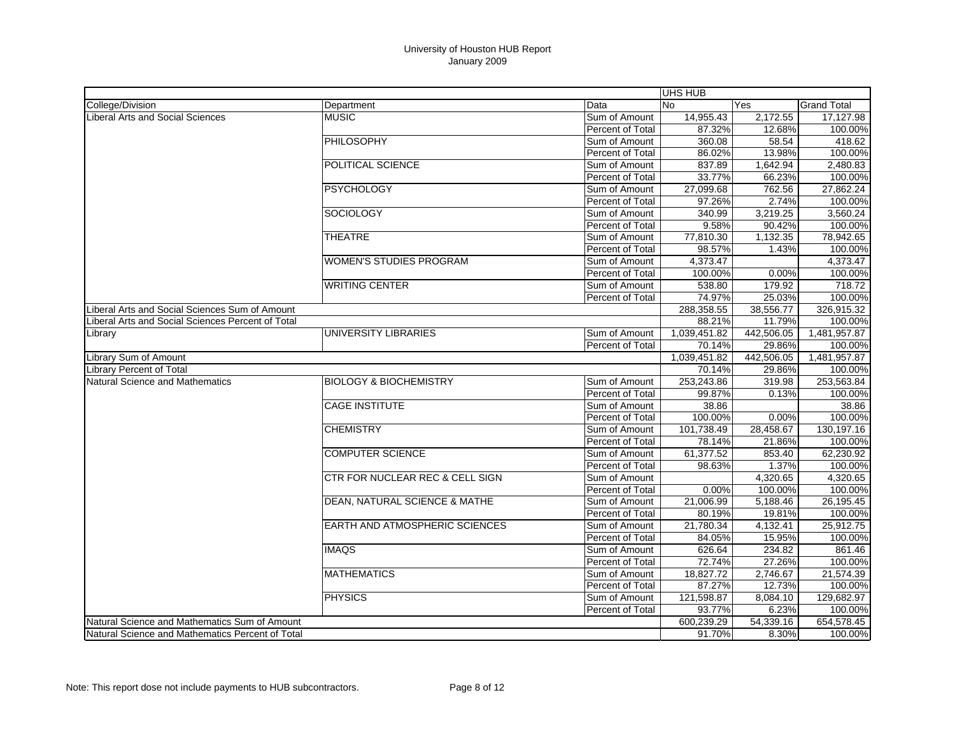|                                                   |                                            |                         | UHS HUB      |            |                    |
|---------------------------------------------------|--------------------------------------------|-------------------------|--------------|------------|--------------------|
| College/Division                                  | Department                                 | Data                    | <b>No</b>    | Yes        | <b>Grand Total</b> |
| Liberal Arts and Social Sciences                  | <b>MUSIC</b>                               | Sum of Amount           | 14,955.43    | 2.172.55   | 17,127.98          |
|                                                   |                                            | Percent of Total        | 87.32%       | 12.68%     | 100.00%            |
|                                                   | PHILOSOPHY                                 | Sum of Amount           | 360.08       | 58.54      | 418.62             |
|                                                   |                                            | Percent of Total        | 86.02%       | 13.98%     | 100.00%            |
|                                                   | POLITICAL SCIENCE                          | Sum of Amount           | 837.89       | 1,642.94   | 2,480.83           |
|                                                   |                                            | Percent of Total        | 33.77%       | 66.23%     | 100.00%            |
|                                                   | <b>PSYCHOLOGY</b>                          | Sum of Amount           | 27,099.68    | 762.56     | 27,862.24          |
|                                                   |                                            | Percent of Total        | 97.26%       | 2.74%      | 100.00%            |
|                                                   | <b>SOCIOLOGY</b>                           | Sum of Amount           | 340.99       | 3,219.25   | 3,560.24           |
|                                                   |                                            | Percent of Total        | 9.58%        | 90.42%     | 100.00%            |
|                                                   | <b>THEATRE</b>                             | Sum of Amount           | 77,810.30    | 1.132.35   | 78,942.65          |
|                                                   |                                            | Percent of Total        | 98.57%       | 1.43%      | 100.00%            |
|                                                   | <b>WOMEN'S STUDIES PROGRAM</b>             | Sum of Amount           | 4,373.47     |            | 4,373.47           |
|                                                   |                                            | Percent of Total        | 100.00%      | 0.00%      | 100.00%            |
|                                                   | <b>WRITING CENTER</b>                      | Sum of Amount           | 538.80       | 179.92     | 718.72             |
|                                                   |                                            | Percent of Total        | 74.97%       | 25.03%     | 100.00%            |
| Liberal Arts and Social Sciences Sum of Amount    |                                            | 288,358.55              | 38,556.77    | 326,915.32 |                    |
| Liberal Arts and Social Sciences Percent of Total |                                            |                         | 88.21%       | 11.79%     | 100.00%            |
| Library                                           | UNIVERSITY LIBRARIES                       | Sum of Amount           | 1,039,451.82 | 442.506.05 | 1,481,957.87       |
|                                                   |                                            | Percent of Total        | 70.14%       | 29.86%     | 100.00%            |
| Library Sum of Amount                             |                                            |                         | 1,039,451.82 | 442,506.05 | 1,481,957.87       |
| Library Percent of Total                          |                                            |                         | 70.14%       | 29.86%     | 100.00%            |
| Natural Science and Mathematics                   | <b>BIOLOGY &amp; BIOCHEMISTRY</b>          | Sum of Amount           | 253,243.86   | 319.98     | 253,563.84         |
|                                                   |                                            | Percent of Total        | 99.87%       | 0.13%      | 100.00%            |
|                                                   | <b>CAGE INSTITUTE</b>                      | Sum of Amount           | 38.86        |            | 38.86              |
|                                                   |                                            | Percent of Total        | 100.00%      | 0.00%      | 100.00%            |
|                                                   | <b>CHEMISTRY</b>                           | Sum of Amount           | 101,738.49   | 28,458.67  | 130,197.16         |
|                                                   |                                            | Percent of Total        | 78.14%       | 21.86%     | 100.00%            |
|                                                   | <b>COMPUTER SCIENCE</b>                    | Sum of Amount           | 61,377.52    | 853.40     | 62,230.92          |
|                                                   |                                            | Percent of Total        | 98.63%       | 1.37%      | 100.00%            |
|                                                   | <b>CTR FOR NUCLEAR REC &amp; CELL SIGN</b> | Sum of Amount           |              | 4,320.65   | 4,320.65           |
|                                                   |                                            | <b>Percent of Total</b> | 0.00%        | 100.00%    | 100.00%            |
|                                                   | DEAN, NATURAL SCIENCE & MATHE              | Sum of Amount           | 21,006.99    | 5,188.46   | 26,195.45          |
|                                                   |                                            | Percent of Total        | 80.19%       | 19.81%     | 100.00%            |
|                                                   | EARTH AND ATMOSPHERIC SCIENCES             | Sum of Amount           | 21,780.34    | 4,132.41   | 25,912.75          |
|                                                   |                                            | Percent of Total        | 84.05%       | 15.95%     | 100.00%            |
|                                                   | <b>IMAQS</b>                               | Sum of Amount           | 626.64       | 234.82     | 861.46             |
|                                                   |                                            | Percent of Total        | 72.74%       | 27.26%     | 100.00%            |
|                                                   | <b>MATHEMATICS</b>                         | Sum of Amount           | 18,827.72    | 2,746.67   | 21,574.39          |
|                                                   |                                            | Percent of Total        | 87.27%       | 12.73%     | 100.00%            |
|                                                   | <b>PHYSICS</b>                             | Sum of Amount           | 121,598.87   | 8,084.10   | 129,682.97         |
|                                                   |                                            | Percent of Total        | 93.77%       | 6.23%      | 100.00%            |
| Natural Science and Mathematics Sum of Amount     |                                            |                         | 600,239.29   | 54,339.16  | 654,578.45         |
| Natural Science and Mathematics Percent of Total  |                                            |                         | 91.70%       | 8.30%      | 100.00%            |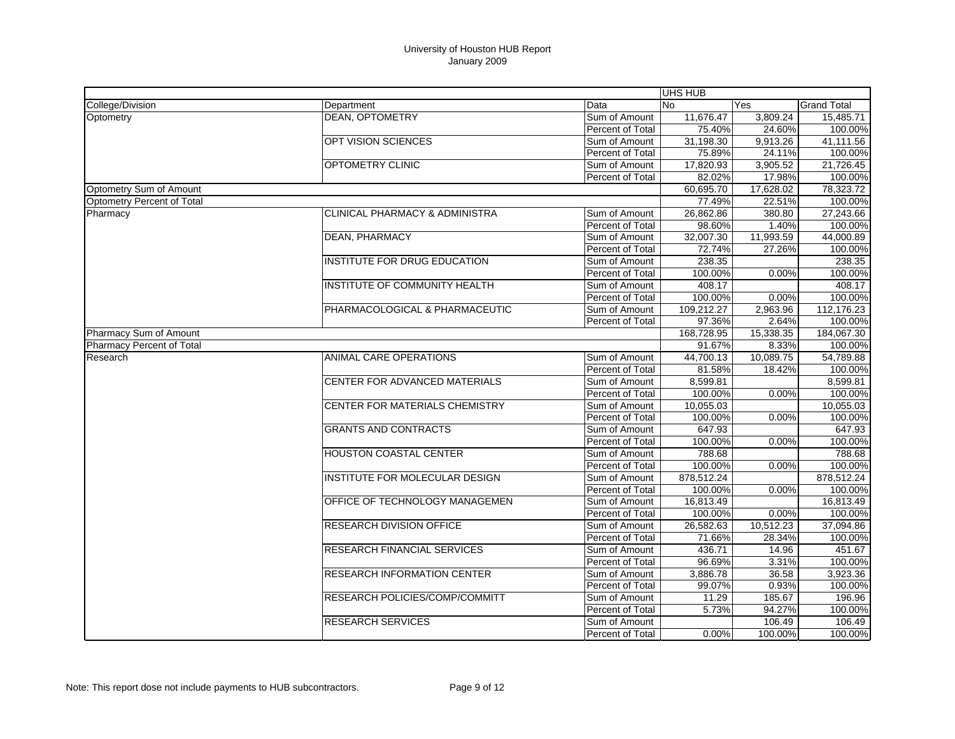| Data<br><b>No</b><br><b>Grand Total</b><br>Department<br>Yes<br><b>DEAN, OPTOMETRY</b><br>Sum of Amount<br>11,676.47<br>3,809.24<br>15,485.71<br>Percent of Total<br>75.40%<br>24.60%<br>100.00%<br>OPT VISION SCIENCES<br>31,198.30<br>9,913.26<br>41,111.56<br>Sum of Amount<br>Percent of Total<br>24.11%<br>100.00%<br>75.89%<br>OPTOMETRY CLINIC<br>21,726.45<br>Sum of Amount<br>17,820.93<br>3,905.52<br>Percent of Total<br>82.02%<br>17.98%<br>100.00%<br>60,695.70<br>17,628.02<br>78,323.72<br>Optometry Percent of Total<br>100.00%<br>77.49%<br>22.51%<br>27,243.66<br><b>CLINICAL PHARMACY &amp; ADMINISTRA</b><br>26,862.86<br>Sum of Amount<br>380.80<br>100.00%<br>Percent of Total<br>98.60%<br>1.40%<br><b>DEAN, PHARMACY</b><br>44,000.89<br>Sum of Amount<br>32,007.30<br>11,993.59<br>Percent of Total<br>72.74%<br>27.26%<br>100.00%<br><b>INSTITUTE FOR DRUG EDUCATION</b><br>238.35<br>238.35<br>Sum of Amount<br><b>Percent of Total</b><br>100.00%<br>100.00%<br>0.00%<br>INSTITUTE OF COMMUNITY HEALTH<br>408.17<br>408.17<br>Sum of Amount<br>Percent of Total<br>100.00%<br>100.00%<br>0.00%<br>PHARMACOLOGICAL & PHARMACEUTIC<br>109,212.27<br>112,176.23<br>Sum of Amount<br>2,963.96<br>2.64%<br>100.00%<br>Percent of Total<br>97.36%<br>168,728.95<br>15,338.35<br>184,067.30<br>Pharmacy Sum of Amount<br>100.00%<br>Pharmacy Percent of Total<br>91.67%<br>8.33%<br>44,700.13<br>54,789.88<br>ANIMAL CARE OPERATIONS<br>Sum of Amount<br>10.089.75<br>Percent of Total<br>100.00%<br>81.58%<br>18.42%<br>CENTER FOR ADVANCED MATERIALS<br>8,599.81<br>Sum of Amount<br>8,599.81<br>100.00%<br>100.00%<br>Percent of Total<br>0.00%<br>CENTER FOR MATERIALS CHEMISTRY<br>10,055.03<br>10,055.03<br>Sum of Amount<br>100.00%<br>100.00%<br>Percent of Total<br>0.00%<br><b>GRANTS AND CONTRACTS</b><br>Sum of Amount<br>647.93<br>647.93<br>Percent of Total<br>100.00%<br>100.00%<br>0.00%<br><b>HOUSTON COASTAL CENTER</b><br>788.68<br>Sum of Amount<br>788.68<br>Percent of Total<br>100.00%<br>100.00%<br>0.00%<br><b>INSTITUTE FOR MOLECULAR DESIGN</b><br>878,512.24<br>878,512.24<br>Sum of Amount<br>Percent of Total<br>100.00%<br>100.00%<br>0.00%<br>OFFICE OF TECHNOLOGY MANAGEMEN<br>16,813.49<br>Sum of Amount<br>16,813.49<br>100.00%<br>0.00%<br>100.00%<br>Percent of Total<br><b>RESEARCH DIVISION OFFICE</b><br>26,582.63<br>Sum of Amount<br>10.512.23<br>37,094.86<br>71.66%<br>28.34%<br>Percent of Total<br>100.00%<br><b>RESEARCH FINANCIAL SERVICES</b><br>436.71<br>451.67<br>Sum of Amount<br>14.96<br>3.31%<br>Percent of Total<br>96.69%<br>100.00%<br><b>RESEARCH INFORMATION CENTER</b><br>3,886.78<br>36.58<br>3,923.36<br>Sum of Amount<br>99.07%<br>0.93%<br>100.00%<br>Percent of Total<br>185.67<br><b>RESEARCH POLICIES/COMP/COMMITT</b><br>Sum of Amount<br>11.29<br>196.96<br>5.73%<br>94.27%<br>100.00%<br>Percent of Total<br><b>RESEARCH SERVICES</b><br>Sum of Amount<br>106.49<br>106.49<br>100.00%<br>100.00%<br>Percent of Total<br>0.00% |                         |  | <b>UHS HUB</b> |  |
|-----------------------------------------------------------------------------------------------------------------------------------------------------------------------------------------------------------------------------------------------------------------------------------------------------------------------------------------------------------------------------------------------------------------------------------------------------------------------------------------------------------------------------------------------------------------------------------------------------------------------------------------------------------------------------------------------------------------------------------------------------------------------------------------------------------------------------------------------------------------------------------------------------------------------------------------------------------------------------------------------------------------------------------------------------------------------------------------------------------------------------------------------------------------------------------------------------------------------------------------------------------------------------------------------------------------------------------------------------------------------------------------------------------------------------------------------------------------------------------------------------------------------------------------------------------------------------------------------------------------------------------------------------------------------------------------------------------------------------------------------------------------------------------------------------------------------------------------------------------------------------------------------------------------------------------------------------------------------------------------------------------------------------------------------------------------------------------------------------------------------------------------------------------------------------------------------------------------------------------------------------------------------------------------------------------------------------------------------------------------------------------------------------------------------------------------------------------------------------------------------------------------------------------------------------------------------------------------------------------------------------------------------------------------------------------------------------------------------------------------------------------------------------------------------------------------------------------------------------------------------------------------------------------------------------------------------------------------------------------------------------------------------------|-------------------------|--|----------------|--|
|                                                                                                                                                                                                                                                                                                                                                                                                                                                                                                                                                                                                                                                                                                                                                                                                                                                                                                                                                                                                                                                                                                                                                                                                                                                                                                                                                                                                                                                                                                                                                                                                                                                                                                                                                                                                                                                                                                                                                                                                                                                                                                                                                                                                                                                                                                                                                                                                                                                                                                                                                                                                                                                                                                                                                                                                                                                                                                                                                                                                                             | College/Division        |  |                |  |
|                                                                                                                                                                                                                                                                                                                                                                                                                                                                                                                                                                                                                                                                                                                                                                                                                                                                                                                                                                                                                                                                                                                                                                                                                                                                                                                                                                                                                                                                                                                                                                                                                                                                                                                                                                                                                                                                                                                                                                                                                                                                                                                                                                                                                                                                                                                                                                                                                                                                                                                                                                                                                                                                                                                                                                                                                                                                                                                                                                                                                             | Optometry               |  |                |  |
|                                                                                                                                                                                                                                                                                                                                                                                                                                                                                                                                                                                                                                                                                                                                                                                                                                                                                                                                                                                                                                                                                                                                                                                                                                                                                                                                                                                                                                                                                                                                                                                                                                                                                                                                                                                                                                                                                                                                                                                                                                                                                                                                                                                                                                                                                                                                                                                                                                                                                                                                                                                                                                                                                                                                                                                                                                                                                                                                                                                                                             |                         |  |                |  |
|                                                                                                                                                                                                                                                                                                                                                                                                                                                                                                                                                                                                                                                                                                                                                                                                                                                                                                                                                                                                                                                                                                                                                                                                                                                                                                                                                                                                                                                                                                                                                                                                                                                                                                                                                                                                                                                                                                                                                                                                                                                                                                                                                                                                                                                                                                                                                                                                                                                                                                                                                                                                                                                                                                                                                                                                                                                                                                                                                                                                                             |                         |  |                |  |
|                                                                                                                                                                                                                                                                                                                                                                                                                                                                                                                                                                                                                                                                                                                                                                                                                                                                                                                                                                                                                                                                                                                                                                                                                                                                                                                                                                                                                                                                                                                                                                                                                                                                                                                                                                                                                                                                                                                                                                                                                                                                                                                                                                                                                                                                                                                                                                                                                                                                                                                                                                                                                                                                                                                                                                                                                                                                                                                                                                                                                             |                         |  |                |  |
|                                                                                                                                                                                                                                                                                                                                                                                                                                                                                                                                                                                                                                                                                                                                                                                                                                                                                                                                                                                                                                                                                                                                                                                                                                                                                                                                                                                                                                                                                                                                                                                                                                                                                                                                                                                                                                                                                                                                                                                                                                                                                                                                                                                                                                                                                                                                                                                                                                                                                                                                                                                                                                                                                                                                                                                                                                                                                                                                                                                                                             |                         |  |                |  |
|                                                                                                                                                                                                                                                                                                                                                                                                                                                                                                                                                                                                                                                                                                                                                                                                                                                                                                                                                                                                                                                                                                                                                                                                                                                                                                                                                                                                                                                                                                                                                                                                                                                                                                                                                                                                                                                                                                                                                                                                                                                                                                                                                                                                                                                                                                                                                                                                                                                                                                                                                                                                                                                                                                                                                                                                                                                                                                                                                                                                                             |                         |  |                |  |
|                                                                                                                                                                                                                                                                                                                                                                                                                                                                                                                                                                                                                                                                                                                                                                                                                                                                                                                                                                                                                                                                                                                                                                                                                                                                                                                                                                                                                                                                                                                                                                                                                                                                                                                                                                                                                                                                                                                                                                                                                                                                                                                                                                                                                                                                                                                                                                                                                                                                                                                                                                                                                                                                                                                                                                                                                                                                                                                                                                                                                             | Optometry Sum of Amount |  |                |  |
|                                                                                                                                                                                                                                                                                                                                                                                                                                                                                                                                                                                                                                                                                                                                                                                                                                                                                                                                                                                                                                                                                                                                                                                                                                                                                                                                                                                                                                                                                                                                                                                                                                                                                                                                                                                                                                                                                                                                                                                                                                                                                                                                                                                                                                                                                                                                                                                                                                                                                                                                                                                                                                                                                                                                                                                                                                                                                                                                                                                                                             |                         |  |                |  |
|                                                                                                                                                                                                                                                                                                                                                                                                                                                                                                                                                                                                                                                                                                                                                                                                                                                                                                                                                                                                                                                                                                                                                                                                                                                                                                                                                                                                                                                                                                                                                                                                                                                                                                                                                                                                                                                                                                                                                                                                                                                                                                                                                                                                                                                                                                                                                                                                                                                                                                                                                                                                                                                                                                                                                                                                                                                                                                                                                                                                                             | Pharmacy                |  |                |  |
|                                                                                                                                                                                                                                                                                                                                                                                                                                                                                                                                                                                                                                                                                                                                                                                                                                                                                                                                                                                                                                                                                                                                                                                                                                                                                                                                                                                                                                                                                                                                                                                                                                                                                                                                                                                                                                                                                                                                                                                                                                                                                                                                                                                                                                                                                                                                                                                                                                                                                                                                                                                                                                                                                                                                                                                                                                                                                                                                                                                                                             |                         |  |                |  |
|                                                                                                                                                                                                                                                                                                                                                                                                                                                                                                                                                                                                                                                                                                                                                                                                                                                                                                                                                                                                                                                                                                                                                                                                                                                                                                                                                                                                                                                                                                                                                                                                                                                                                                                                                                                                                                                                                                                                                                                                                                                                                                                                                                                                                                                                                                                                                                                                                                                                                                                                                                                                                                                                                                                                                                                                                                                                                                                                                                                                                             |                         |  |                |  |
|                                                                                                                                                                                                                                                                                                                                                                                                                                                                                                                                                                                                                                                                                                                                                                                                                                                                                                                                                                                                                                                                                                                                                                                                                                                                                                                                                                                                                                                                                                                                                                                                                                                                                                                                                                                                                                                                                                                                                                                                                                                                                                                                                                                                                                                                                                                                                                                                                                                                                                                                                                                                                                                                                                                                                                                                                                                                                                                                                                                                                             |                         |  |                |  |
|                                                                                                                                                                                                                                                                                                                                                                                                                                                                                                                                                                                                                                                                                                                                                                                                                                                                                                                                                                                                                                                                                                                                                                                                                                                                                                                                                                                                                                                                                                                                                                                                                                                                                                                                                                                                                                                                                                                                                                                                                                                                                                                                                                                                                                                                                                                                                                                                                                                                                                                                                                                                                                                                                                                                                                                                                                                                                                                                                                                                                             |                         |  |                |  |
|                                                                                                                                                                                                                                                                                                                                                                                                                                                                                                                                                                                                                                                                                                                                                                                                                                                                                                                                                                                                                                                                                                                                                                                                                                                                                                                                                                                                                                                                                                                                                                                                                                                                                                                                                                                                                                                                                                                                                                                                                                                                                                                                                                                                                                                                                                                                                                                                                                                                                                                                                                                                                                                                                                                                                                                                                                                                                                                                                                                                                             |                         |  |                |  |
|                                                                                                                                                                                                                                                                                                                                                                                                                                                                                                                                                                                                                                                                                                                                                                                                                                                                                                                                                                                                                                                                                                                                                                                                                                                                                                                                                                                                                                                                                                                                                                                                                                                                                                                                                                                                                                                                                                                                                                                                                                                                                                                                                                                                                                                                                                                                                                                                                                                                                                                                                                                                                                                                                                                                                                                                                                                                                                                                                                                                                             |                         |  |                |  |
|                                                                                                                                                                                                                                                                                                                                                                                                                                                                                                                                                                                                                                                                                                                                                                                                                                                                                                                                                                                                                                                                                                                                                                                                                                                                                                                                                                                                                                                                                                                                                                                                                                                                                                                                                                                                                                                                                                                                                                                                                                                                                                                                                                                                                                                                                                                                                                                                                                                                                                                                                                                                                                                                                                                                                                                                                                                                                                                                                                                                                             |                         |  |                |  |
|                                                                                                                                                                                                                                                                                                                                                                                                                                                                                                                                                                                                                                                                                                                                                                                                                                                                                                                                                                                                                                                                                                                                                                                                                                                                                                                                                                                                                                                                                                                                                                                                                                                                                                                                                                                                                                                                                                                                                                                                                                                                                                                                                                                                                                                                                                                                                                                                                                                                                                                                                                                                                                                                                                                                                                                                                                                                                                                                                                                                                             |                         |  |                |  |
|                                                                                                                                                                                                                                                                                                                                                                                                                                                                                                                                                                                                                                                                                                                                                                                                                                                                                                                                                                                                                                                                                                                                                                                                                                                                                                                                                                                                                                                                                                                                                                                                                                                                                                                                                                                                                                                                                                                                                                                                                                                                                                                                                                                                                                                                                                                                                                                                                                                                                                                                                                                                                                                                                                                                                                                                                                                                                                                                                                                                                             |                         |  |                |  |
|                                                                                                                                                                                                                                                                                                                                                                                                                                                                                                                                                                                                                                                                                                                                                                                                                                                                                                                                                                                                                                                                                                                                                                                                                                                                                                                                                                                                                                                                                                                                                                                                                                                                                                                                                                                                                                                                                                                                                                                                                                                                                                                                                                                                                                                                                                                                                                                                                                                                                                                                                                                                                                                                                                                                                                                                                                                                                                                                                                                                                             |                         |  |                |  |
|                                                                                                                                                                                                                                                                                                                                                                                                                                                                                                                                                                                                                                                                                                                                                                                                                                                                                                                                                                                                                                                                                                                                                                                                                                                                                                                                                                                                                                                                                                                                                                                                                                                                                                                                                                                                                                                                                                                                                                                                                                                                                                                                                                                                                                                                                                                                                                                                                                                                                                                                                                                                                                                                                                                                                                                                                                                                                                                                                                                                                             |                         |  |                |  |
|                                                                                                                                                                                                                                                                                                                                                                                                                                                                                                                                                                                                                                                                                                                                                                                                                                                                                                                                                                                                                                                                                                                                                                                                                                                                                                                                                                                                                                                                                                                                                                                                                                                                                                                                                                                                                                                                                                                                                                                                                                                                                                                                                                                                                                                                                                                                                                                                                                                                                                                                                                                                                                                                                                                                                                                                                                                                                                                                                                                                                             | Research                |  |                |  |
|                                                                                                                                                                                                                                                                                                                                                                                                                                                                                                                                                                                                                                                                                                                                                                                                                                                                                                                                                                                                                                                                                                                                                                                                                                                                                                                                                                                                                                                                                                                                                                                                                                                                                                                                                                                                                                                                                                                                                                                                                                                                                                                                                                                                                                                                                                                                                                                                                                                                                                                                                                                                                                                                                                                                                                                                                                                                                                                                                                                                                             |                         |  |                |  |
|                                                                                                                                                                                                                                                                                                                                                                                                                                                                                                                                                                                                                                                                                                                                                                                                                                                                                                                                                                                                                                                                                                                                                                                                                                                                                                                                                                                                                                                                                                                                                                                                                                                                                                                                                                                                                                                                                                                                                                                                                                                                                                                                                                                                                                                                                                                                                                                                                                                                                                                                                                                                                                                                                                                                                                                                                                                                                                                                                                                                                             |                         |  |                |  |
|                                                                                                                                                                                                                                                                                                                                                                                                                                                                                                                                                                                                                                                                                                                                                                                                                                                                                                                                                                                                                                                                                                                                                                                                                                                                                                                                                                                                                                                                                                                                                                                                                                                                                                                                                                                                                                                                                                                                                                                                                                                                                                                                                                                                                                                                                                                                                                                                                                                                                                                                                                                                                                                                                                                                                                                                                                                                                                                                                                                                                             |                         |  |                |  |
|                                                                                                                                                                                                                                                                                                                                                                                                                                                                                                                                                                                                                                                                                                                                                                                                                                                                                                                                                                                                                                                                                                                                                                                                                                                                                                                                                                                                                                                                                                                                                                                                                                                                                                                                                                                                                                                                                                                                                                                                                                                                                                                                                                                                                                                                                                                                                                                                                                                                                                                                                                                                                                                                                                                                                                                                                                                                                                                                                                                                                             |                         |  |                |  |
|                                                                                                                                                                                                                                                                                                                                                                                                                                                                                                                                                                                                                                                                                                                                                                                                                                                                                                                                                                                                                                                                                                                                                                                                                                                                                                                                                                                                                                                                                                                                                                                                                                                                                                                                                                                                                                                                                                                                                                                                                                                                                                                                                                                                                                                                                                                                                                                                                                                                                                                                                                                                                                                                                                                                                                                                                                                                                                                                                                                                                             |                         |  |                |  |
|                                                                                                                                                                                                                                                                                                                                                                                                                                                                                                                                                                                                                                                                                                                                                                                                                                                                                                                                                                                                                                                                                                                                                                                                                                                                                                                                                                                                                                                                                                                                                                                                                                                                                                                                                                                                                                                                                                                                                                                                                                                                                                                                                                                                                                                                                                                                                                                                                                                                                                                                                                                                                                                                                                                                                                                                                                                                                                                                                                                                                             |                         |  |                |  |
|                                                                                                                                                                                                                                                                                                                                                                                                                                                                                                                                                                                                                                                                                                                                                                                                                                                                                                                                                                                                                                                                                                                                                                                                                                                                                                                                                                                                                                                                                                                                                                                                                                                                                                                                                                                                                                                                                                                                                                                                                                                                                                                                                                                                                                                                                                                                                                                                                                                                                                                                                                                                                                                                                                                                                                                                                                                                                                                                                                                                                             |                         |  |                |  |
|                                                                                                                                                                                                                                                                                                                                                                                                                                                                                                                                                                                                                                                                                                                                                                                                                                                                                                                                                                                                                                                                                                                                                                                                                                                                                                                                                                                                                                                                                                                                                                                                                                                                                                                                                                                                                                                                                                                                                                                                                                                                                                                                                                                                                                                                                                                                                                                                                                                                                                                                                                                                                                                                                                                                                                                                                                                                                                                                                                                                                             |                         |  |                |  |
|                                                                                                                                                                                                                                                                                                                                                                                                                                                                                                                                                                                                                                                                                                                                                                                                                                                                                                                                                                                                                                                                                                                                                                                                                                                                                                                                                                                                                                                                                                                                                                                                                                                                                                                                                                                                                                                                                                                                                                                                                                                                                                                                                                                                                                                                                                                                                                                                                                                                                                                                                                                                                                                                                                                                                                                                                                                                                                                                                                                                                             |                         |  |                |  |
|                                                                                                                                                                                                                                                                                                                                                                                                                                                                                                                                                                                                                                                                                                                                                                                                                                                                                                                                                                                                                                                                                                                                                                                                                                                                                                                                                                                                                                                                                                                                                                                                                                                                                                                                                                                                                                                                                                                                                                                                                                                                                                                                                                                                                                                                                                                                                                                                                                                                                                                                                                                                                                                                                                                                                                                                                                                                                                                                                                                                                             |                         |  |                |  |
|                                                                                                                                                                                                                                                                                                                                                                                                                                                                                                                                                                                                                                                                                                                                                                                                                                                                                                                                                                                                                                                                                                                                                                                                                                                                                                                                                                                                                                                                                                                                                                                                                                                                                                                                                                                                                                                                                                                                                                                                                                                                                                                                                                                                                                                                                                                                                                                                                                                                                                                                                                                                                                                                                                                                                                                                                                                                                                                                                                                                                             |                         |  |                |  |
|                                                                                                                                                                                                                                                                                                                                                                                                                                                                                                                                                                                                                                                                                                                                                                                                                                                                                                                                                                                                                                                                                                                                                                                                                                                                                                                                                                                                                                                                                                                                                                                                                                                                                                                                                                                                                                                                                                                                                                                                                                                                                                                                                                                                                                                                                                                                                                                                                                                                                                                                                                                                                                                                                                                                                                                                                                                                                                                                                                                                                             |                         |  |                |  |
|                                                                                                                                                                                                                                                                                                                                                                                                                                                                                                                                                                                                                                                                                                                                                                                                                                                                                                                                                                                                                                                                                                                                                                                                                                                                                                                                                                                                                                                                                                                                                                                                                                                                                                                                                                                                                                                                                                                                                                                                                                                                                                                                                                                                                                                                                                                                                                                                                                                                                                                                                                                                                                                                                                                                                                                                                                                                                                                                                                                                                             |                         |  |                |  |
|                                                                                                                                                                                                                                                                                                                                                                                                                                                                                                                                                                                                                                                                                                                                                                                                                                                                                                                                                                                                                                                                                                                                                                                                                                                                                                                                                                                                                                                                                                                                                                                                                                                                                                                                                                                                                                                                                                                                                                                                                                                                                                                                                                                                                                                                                                                                                                                                                                                                                                                                                                                                                                                                                                                                                                                                                                                                                                                                                                                                                             |                         |  |                |  |
|                                                                                                                                                                                                                                                                                                                                                                                                                                                                                                                                                                                                                                                                                                                                                                                                                                                                                                                                                                                                                                                                                                                                                                                                                                                                                                                                                                                                                                                                                                                                                                                                                                                                                                                                                                                                                                                                                                                                                                                                                                                                                                                                                                                                                                                                                                                                                                                                                                                                                                                                                                                                                                                                                                                                                                                                                                                                                                                                                                                                                             |                         |  |                |  |
|                                                                                                                                                                                                                                                                                                                                                                                                                                                                                                                                                                                                                                                                                                                                                                                                                                                                                                                                                                                                                                                                                                                                                                                                                                                                                                                                                                                                                                                                                                                                                                                                                                                                                                                                                                                                                                                                                                                                                                                                                                                                                                                                                                                                                                                                                                                                                                                                                                                                                                                                                                                                                                                                                                                                                                                                                                                                                                                                                                                                                             |                         |  |                |  |
|                                                                                                                                                                                                                                                                                                                                                                                                                                                                                                                                                                                                                                                                                                                                                                                                                                                                                                                                                                                                                                                                                                                                                                                                                                                                                                                                                                                                                                                                                                                                                                                                                                                                                                                                                                                                                                                                                                                                                                                                                                                                                                                                                                                                                                                                                                                                                                                                                                                                                                                                                                                                                                                                                                                                                                                                                                                                                                                                                                                                                             |                         |  |                |  |
|                                                                                                                                                                                                                                                                                                                                                                                                                                                                                                                                                                                                                                                                                                                                                                                                                                                                                                                                                                                                                                                                                                                                                                                                                                                                                                                                                                                                                                                                                                                                                                                                                                                                                                                                                                                                                                                                                                                                                                                                                                                                                                                                                                                                                                                                                                                                                                                                                                                                                                                                                                                                                                                                                                                                                                                                                                                                                                                                                                                                                             |                         |  |                |  |
|                                                                                                                                                                                                                                                                                                                                                                                                                                                                                                                                                                                                                                                                                                                                                                                                                                                                                                                                                                                                                                                                                                                                                                                                                                                                                                                                                                                                                                                                                                                                                                                                                                                                                                                                                                                                                                                                                                                                                                                                                                                                                                                                                                                                                                                                                                                                                                                                                                                                                                                                                                                                                                                                                                                                                                                                                                                                                                                                                                                                                             |                         |  |                |  |
|                                                                                                                                                                                                                                                                                                                                                                                                                                                                                                                                                                                                                                                                                                                                                                                                                                                                                                                                                                                                                                                                                                                                                                                                                                                                                                                                                                                                                                                                                                                                                                                                                                                                                                                                                                                                                                                                                                                                                                                                                                                                                                                                                                                                                                                                                                                                                                                                                                                                                                                                                                                                                                                                                                                                                                                                                                                                                                                                                                                                                             |                         |  |                |  |
|                                                                                                                                                                                                                                                                                                                                                                                                                                                                                                                                                                                                                                                                                                                                                                                                                                                                                                                                                                                                                                                                                                                                                                                                                                                                                                                                                                                                                                                                                                                                                                                                                                                                                                                                                                                                                                                                                                                                                                                                                                                                                                                                                                                                                                                                                                                                                                                                                                                                                                                                                                                                                                                                                                                                                                                                                                                                                                                                                                                                                             |                         |  |                |  |
|                                                                                                                                                                                                                                                                                                                                                                                                                                                                                                                                                                                                                                                                                                                                                                                                                                                                                                                                                                                                                                                                                                                                                                                                                                                                                                                                                                                                                                                                                                                                                                                                                                                                                                                                                                                                                                                                                                                                                                                                                                                                                                                                                                                                                                                                                                                                                                                                                                                                                                                                                                                                                                                                                                                                                                                                                                                                                                                                                                                                                             |                         |  |                |  |
|                                                                                                                                                                                                                                                                                                                                                                                                                                                                                                                                                                                                                                                                                                                                                                                                                                                                                                                                                                                                                                                                                                                                                                                                                                                                                                                                                                                                                                                                                                                                                                                                                                                                                                                                                                                                                                                                                                                                                                                                                                                                                                                                                                                                                                                                                                                                                                                                                                                                                                                                                                                                                                                                                                                                                                                                                                                                                                                                                                                                                             |                         |  |                |  |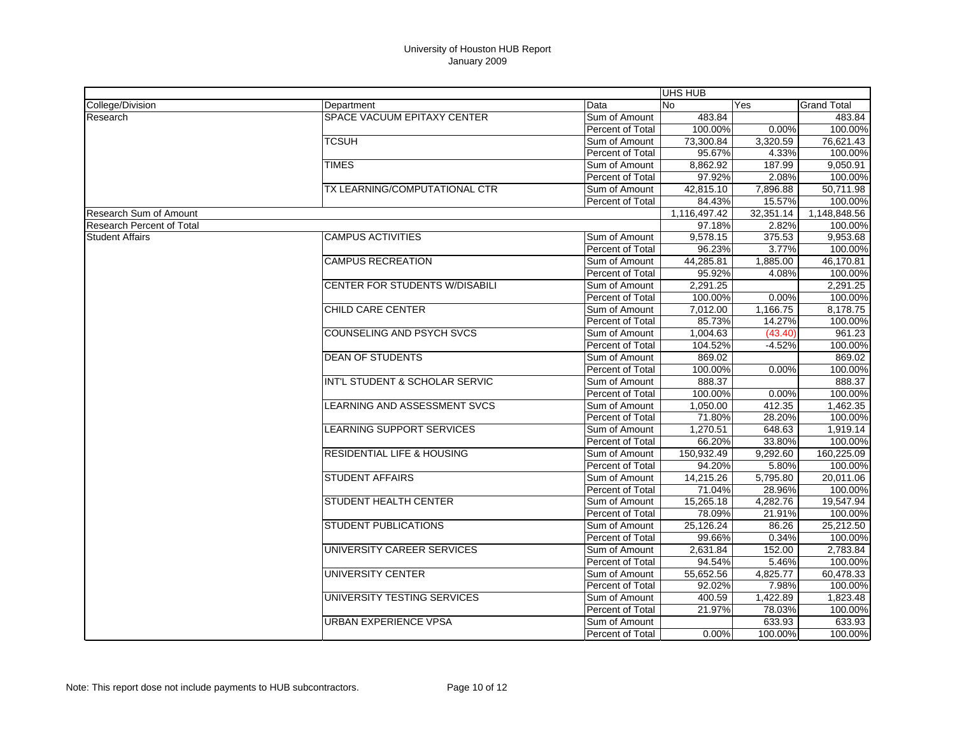|                                  |                                       |                         | UHS HUB      |           |                    |
|----------------------------------|---------------------------------------|-------------------------|--------------|-----------|--------------------|
| College/Division                 | Department                            | Data                    | <b>No</b>    | Yes       | <b>Grand Total</b> |
| Research                         | SPACE VACUUM EPITAXY CENTER           | Sum of Amount           | 483.84       |           | 483.84             |
|                                  |                                       | Percent of Total        | 100.00%      | 0.00%     | 100.00%            |
|                                  | <b>TCSUH</b>                          | Sum of Amount           | 73,300.84    | 3,320.59  | 76,621.43          |
|                                  |                                       | Percent of Total        | 95.67%       | 4.33%     | 100.00%            |
|                                  | <b>TIMES</b>                          | Sum of Amount           | 8,862.92     | 187.99    | 9.050.91           |
|                                  |                                       | <b>Percent of Total</b> | 97.92%       | 2.08%     | 100.00%            |
|                                  | TX LEARNING/COMPUTATIONAL CTR         | Sum of Amount           | 42,815.10    | 7,896.88  | 50,711.98          |
|                                  |                                       | <b>Percent of Total</b> | 84.43%       | 15.57%    | 100.00%            |
| <b>Research Sum of Amount</b>    |                                       |                         | 1,116,497.42 | 32,351.14 | 1,148,848.56       |
| <b>Research Percent of Total</b> |                                       |                         | 97.18%       | 2.82%     | 100.00%            |
| <b>Student Affairs</b>           | <b>CAMPUS ACTIVITIES</b>              | Sum of Amount           | 9,578.15     | 375.53    | 9,953.68           |
|                                  |                                       | Percent of Total        | 96.23%       | 3.77%     | 100.00%            |
|                                  | <b>CAMPUS RECREATION</b>              | Sum of Amount           | 44,285.81    | 1,885.00  | 46,170.81          |
|                                  |                                       | Percent of Total        | 95.92%       | 4.08%     | 100.00%            |
|                                  | <b>CENTER FOR STUDENTS W/DISABILI</b> | Sum of Amount           | 2,291.25     |           | 2,291.25           |
|                                  |                                       | Percent of Total        | 100.00%      | 0.00%     | 100.00%            |
|                                  | CHILD CARE CENTER                     | Sum of Amount           | 7,012.00     | 1,166.75  | 8,178.75           |
|                                  |                                       | Percent of Total        | 85.73%       | 14.27%    | 100.00%            |
|                                  | <b>COUNSELING AND PSYCH SVCS</b>      | Sum of Amount           | 1,004.63     | (43.40)   | 961.23             |
|                                  |                                       | Percent of Total        | 104.52%      | $-4.52%$  | 100.00%            |
|                                  | <b>DEAN OF STUDENTS</b>               | Sum of Amount           | 869.02       |           | 869.02             |
|                                  |                                       | Percent of Total        | 100.00%      | 0.00%     | 100.00%            |
|                                  | INT'L STUDENT & SCHOLAR SERVIC        | Sum of Amount           | 888.37       |           | 888.37             |
|                                  |                                       | Percent of Total        | 100.00%      | 0.00%     | 100.00%            |
|                                  | <b>LEARNING AND ASSESSMENT SVCS</b>   | Sum of Amount           | 1,050.00     | 412.35    | 1,462.35           |
|                                  |                                       | Percent of Total        | 71.80%       | 28.20%    | 100.00%            |
|                                  | <b>LEARNING SUPPORT SERVICES</b>      | Sum of Amount           | 1,270.51     | 648.63    | 1,919.14           |
|                                  |                                       | Percent of Total        | 66.20%       | 33.80%    | 100.00%            |
|                                  | <b>RESIDENTIAL LIFE &amp; HOUSING</b> | Sum of Amount           | 150,932.49   | 9,292.60  | 160,225.09         |
|                                  |                                       | Percent of Total        | 94.20%       | 5.80%     | 100.00%            |
|                                  | <b>STUDENT AFFAIRS</b>                | Sum of Amount           | 14,215.26    | 5,795.80  | 20,011.06          |
|                                  |                                       | Percent of Total        | 71.04%       | 28.96%    | 100.00%            |
|                                  | STUDENT HEALTH CENTER                 | Sum of Amount           | 15,265.18    | 4,282.76  | 19,547.94          |
|                                  |                                       | Percent of Total        | 78.09%       | 21.91%    | 100.00%            |
|                                  | STUDENT PUBLICATIONS                  | Sum of Amount           | 25,126.24    | 86.26     | 25,212.50          |
|                                  |                                       | Percent of Total        | 99.66%       | 0.34%     | 100.00%            |
|                                  | UNIVERSITY CAREER SERVICES            | Sum of Amount           | 2,631.84     | 152.00    | 2,783.84           |
|                                  |                                       | Percent of Total        | 94.54%       | 5.46%     | 100.00%            |
|                                  | <b>UNIVERSITY CENTER</b>              | Sum of Amount           | 55,652.56    | 4,825.77  | 60,478.33          |
|                                  |                                       | <b>Percent of Total</b> | 92.02%       | 7.98%     | 100.00%            |
|                                  | UNIVERSITY TESTING SERVICES           | Sum of Amount           | 400.59       | 1,422.89  | 1,823.48           |
|                                  |                                       | Percent of Total        | 21.97%       | 78.03%    | 100.00%            |
|                                  | URBAN EXPERIENCE VPSA                 | Sum of Amount           |              | 633.93    | 633.93             |
|                                  |                                       | <b>Percent of Total</b> | 0.00%        | 100.00%   | 100.00%            |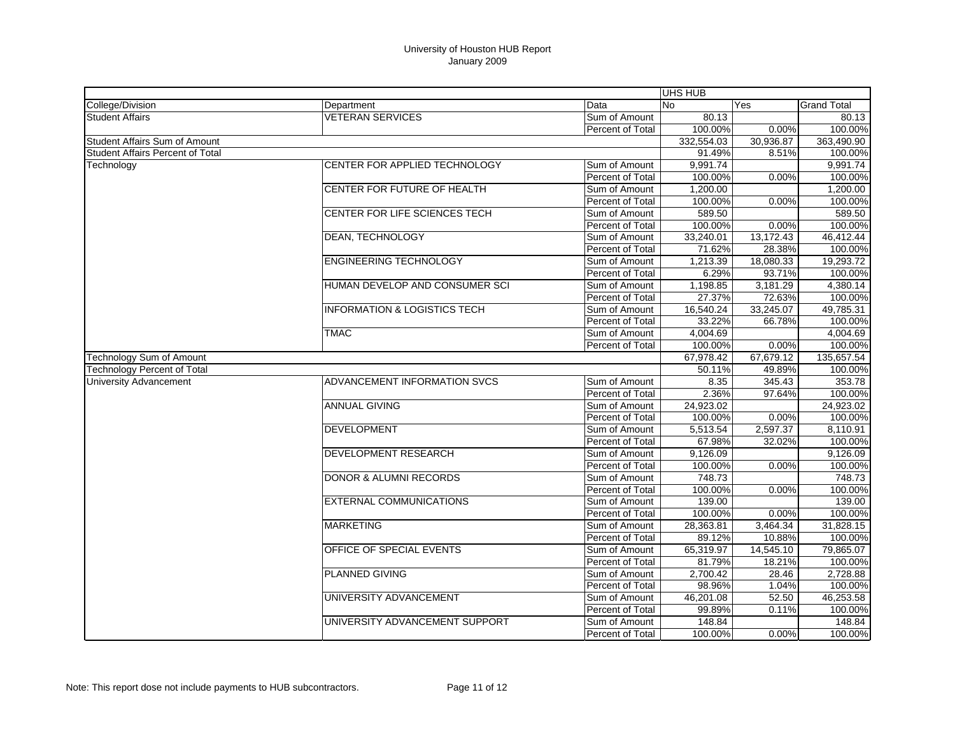|                                    |                                         |                         | UHS HUB    |           |                    |
|------------------------------------|-----------------------------------------|-------------------------|------------|-----------|--------------------|
| College/Division                   | Department                              | Data                    | <b>No</b>  | Yes       | <b>Grand Total</b> |
| <b>Student Affairs</b>             | <b>VETERAN SERVICES</b>                 | Sum of Amount           | 80.13      |           | 80.13              |
|                                    |                                         | <b>Percent of Total</b> | 100.00%    | 0.00%     | 100.00%            |
| Student Affairs Sum of Amount      |                                         |                         | 332,554.03 | 30,936.87 | 363,490.90         |
| Student Affairs Percent of Total   |                                         |                         | 91.49%     | 8.51%     | 100.00%            |
| Technology                         | CENTER FOR APPLIED TECHNOLOGY           | Sum of Amount           | 9,991.74   |           | 9,991.74           |
|                                    |                                         | Percent of Total        | 100.00%    | 0.00%     | 100.00%            |
|                                    | CENTER FOR FUTURE OF HEALTH             | Sum of Amount           | 1,200.00   |           | 1,200.00           |
|                                    |                                         | Percent of Total        | 100.00%    | 0.00%     | 100.00%            |
|                                    | CENTER FOR LIFE SCIENCES TECH           | Sum of Amount           | 589.50     |           | 589.50             |
|                                    |                                         | Percent of Total        | 100.00%    | 0.00%     | 100.00%            |
|                                    | <b>DEAN, TECHNOLOGY</b>                 | Sum of Amount           | 33,240.01  | 13,172.43 | 46,412.44          |
|                                    |                                         | Percent of Total        | 71.62%     | 28.38%    | 100.00%            |
|                                    | <b>ENGINEERING TECHNOLOGY</b>           | Sum of Amount           | 1.213.39   | 18.080.33 | 19,293.72          |
|                                    |                                         | Percent of Total        | 6.29%      | 93.71%    | 100.00%            |
|                                    | HUMAN DEVELOP AND CONSUMER SCI          | Sum of Amount           | 1,198.85   | 3,181.29  | 4,380.14           |
|                                    |                                         | Percent of Total        | 27.37%     | 72.63%    | 100.00%            |
|                                    | <b>INFORMATION &amp; LOGISTICS TECH</b> | Sum of Amount           | 16,540.24  | 33,245.07 | 49,785.31          |
|                                    |                                         | Percent of Total        | 33.22%     | 66.78%    | 100.00%            |
|                                    | <b>TMAC</b>                             | Sum of Amount           | 4,004.69   |           | 4,004.69           |
|                                    |                                         | Percent of Total        | 100.00%    | 0.00%     | 100.00%            |
| <b>Technology Sum of Amount</b>    |                                         |                         | 67,978.42  | 67,679.12 | 135,657.54         |
| <b>Technology Percent of Total</b> |                                         |                         | 50.11%     | 49.89%    | 100.00%            |
| <b>University Advancement</b>      | ADVANCEMENT INFORMATION SVCS            | Sum of Amount           | 8.35       | 345.43    | 353.78             |
|                                    |                                         | <b>Percent of Total</b> | 2.36%      | 97.64%    | 100.00%            |
|                                    | <b>ANNUAL GIVING</b>                    | Sum of Amount           | 24,923.02  |           | 24,923.02          |
|                                    |                                         | Percent of Total        | 100.00%    | 0.00%     | 100.00%            |
|                                    | <b>DEVELOPMENT</b>                      | Sum of Amount           | 5,513.54   | 2,597.37  | 8,110.91           |
|                                    |                                         | Percent of Total        | 67.98%     | 32.02%    | 100.00%            |
|                                    | <b>DEVELOPMENT RESEARCH</b>             | Sum of Amount           | 9,126.09   |           | 9,126.09           |
|                                    |                                         | Percent of Total        | 100.00%    | 0.00%     | 100.00%            |
|                                    | <b>DONOR &amp; ALUMNI RECORDS</b>       | Sum of Amount           | 748.73     |           | 748.73             |
|                                    |                                         | Percent of Total        | 100.00%    | 0.00%     | 100.00%            |
|                                    | <b>EXTERNAL COMMUNICATIONS</b>          | Sum of Amount           | 139.00     |           | 139.00             |
|                                    |                                         | Percent of Total        | 100.00%    | 0.00%     | 100.00%            |
|                                    | <b>MARKETING</b>                        | Sum of Amount           | 28,363.81  | 3,464.34  | 31,828.15          |
|                                    |                                         | Percent of Total        | 89.12%     | 10.88%    | 100.00%            |
|                                    | OFFICE OF SPECIAL EVENTS                | Sum of Amount           | 65,319.97  | 14,545.10 | 79,865.07          |
|                                    |                                         | Percent of Total        | 81.79%     | 18.21%    | 100.00%            |
|                                    | <b>PLANNED GIVING</b>                   | Sum of Amount           | 2,700.42   | 28.46     | 2,728.88           |
|                                    |                                         | Percent of Total        | 98.96%     | 1.04%     | 100.00%            |
|                                    | UNIVERSITY ADVANCEMENT                  | Sum of Amount           | 46,201.08  | 52.50     | 46,253.58          |
|                                    |                                         | Percent of Total        | 99.89%     | 0.11%     | 100.00%            |
|                                    | UNIVERSITY ADVANCEMENT SUPPORT          | Sum of Amount           | 148.84     |           | 148.84             |
|                                    |                                         | Percent of Total        | 100.00%    | 0.00%     | 100.00%            |